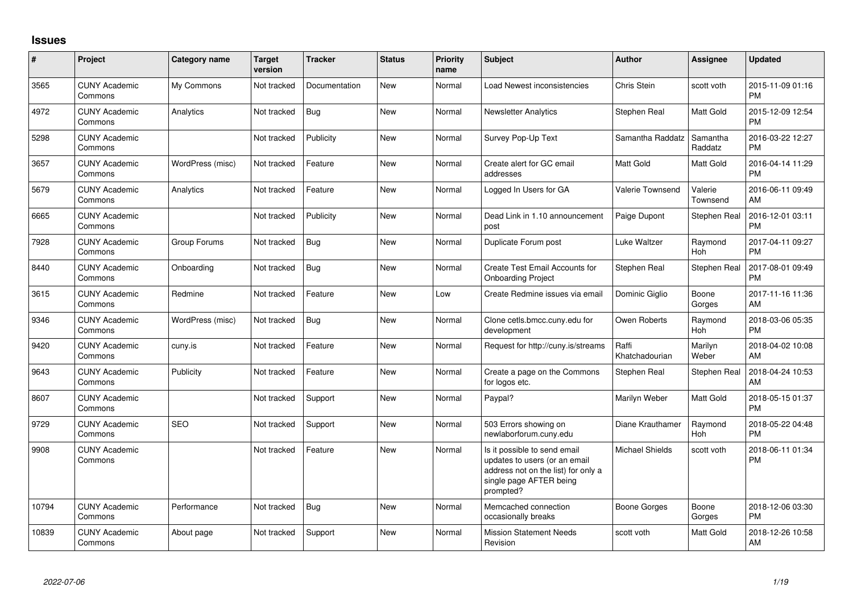## **Issues**

| $\#$  | Project                         | <b>Category name</b> | <b>Target</b><br>version | <b>Tracker</b> | <b>Status</b> | Priority<br>name | <b>Subject</b>                                                                                                                               | <b>Author</b>           | <b>Assignee</b>     | <b>Updated</b>                |
|-------|---------------------------------|----------------------|--------------------------|----------------|---------------|------------------|----------------------------------------------------------------------------------------------------------------------------------------------|-------------------------|---------------------|-------------------------------|
| 3565  | <b>CUNY Academic</b><br>Commons | My Commons           | Not tracked              | Documentation  | New           | Normal           | Load Newest inconsistencies                                                                                                                  | <b>Chris Stein</b>      | scott voth          | 2015-11-09 01:16<br><b>PM</b> |
| 4972  | <b>CUNY Academic</b><br>Commons | Analytics            | Not tracked              | Bug            | New           | Normal           | <b>Newsletter Analytics</b>                                                                                                                  | Stephen Real            | Matt Gold           | 2015-12-09 12:54<br><b>PM</b> |
| 5298  | <b>CUNY Academic</b><br>Commons |                      | Not tracked              | Publicity      | New           | Normal           | Survey Pop-Up Text                                                                                                                           | Samantha Raddatz        | Samantha<br>Raddatz | 2016-03-22 12:27<br><b>PM</b> |
| 3657  | <b>CUNY Academic</b><br>Commons | WordPress (misc)     | Not tracked              | Feature        | New           | Normal           | Create alert for GC email<br>addresses                                                                                                       | <b>Matt Gold</b>        | Matt Gold           | 2016-04-14 11:29<br><b>PM</b> |
| 5679  | <b>CUNY Academic</b><br>Commons | Analytics            | Not tracked              | Feature        | <b>New</b>    | Normal           | Logged In Users for GA                                                                                                                       | Valerie Townsend        | Valerie<br>Townsend | 2016-06-11 09:49<br>AM        |
| 6665  | <b>CUNY Academic</b><br>Commons |                      | Not tracked              | Publicity      | New           | Normal           | Dead Link in 1.10 announcement<br>post                                                                                                       | Paige Dupont            | Stephen Real        | 2016-12-01 03:11<br><b>PM</b> |
| 7928  | <b>CUNY Academic</b><br>Commons | Group Forums         | Not tracked              | <b>Bug</b>     | New           | Normal           | Duplicate Forum post                                                                                                                         | Luke Waltzer            | Raymond<br>Hoh      | 2017-04-11 09:27<br><b>PM</b> |
| 8440  | <b>CUNY Academic</b><br>Commons | Onboarding           | Not tracked              | Bug            | <b>New</b>    | Normal           | Create Test Email Accounts for<br><b>Onboarding Project</b>                                                                                  | Stephen Real            | Stephen Real        | 2017-08-01 09:49<br><b>PM</b> |
| 3615  | <b>CUNY Academic</b><br>Commons | Redmine              | Not tracked              | Feature        | New           | Low              | Create Redmine issues via email                                                                                                              | Dominic Giglio          | Boone<br>Gorges     | 2017-11-16 11:36<br>AM        |
| 9346  | <b>CUNY Academic</b><br>Commons | WordPress (misc)     | Not tracked              | Bug            | <b>New</b>    | Normal           | Clone cetls.bmcc.cuny.edu for<br>development                                                                                                 | Owen Roberts            | Raymond<br>Hoh      | 2018-03-06 05:35<br><b>PM</b> |
| 9420  | <b>CUNY Academic</b><br>Commons | cuny.is              | Not tracked              | Feature        | <b>New</b>    | Normal           | Request for http://cuny.is/streams                                                                                                           | Raffi<br>Khatchadourian | Marilyn<br>Weber    | 2018-04-02 10:08<br>AM        |
| 9643  | <b>CUNY Academic</b><br>Commons | Publicity            | Not tracked              | Feature        | <b>New</b>    | Normal           | Create a page on the Commons<br>for logos etc.                                                                                               | Stephen Real            | Stephen Real        | 2018-04-24 10:53<br>AM        |
| 8607  | <b>CUNY Academic</b><br>Commons |                      | Not tracked              | Support        | <b>New</b>    | Normal           | Paypal?                                                                                                                                      | Marilyn Weber           | Matt Gold           | 2018-05-15 01:37<br><b>PM</b> |
| 9729  | <b>CUNY Academic</b><br>Commons | <b>SEO</b>           | Not tracked              | Support        | New           | Normal           | 503 Errors showing on<br>newlaborforum.cuny.edu                                                                                              | Diane Krauthamer        | Raymond<br>Hoh      | 2018-05-22 04:48<br><b>PM</b> |
| 9908  | <b>CUNY Academic</b><br>Commons |                      | Not tracked              | Feature        | New           | Normal           | Is it possible to send email<br>updates to users (or an email<br>address not on the list) for only a<br>single page AFTER being<br>prompted? | Michael Shields         | scott voth          | 2018-06-11 01:34<br><b>PM</b> |
| 10794 | <b>CUNY Academic</b><br>Commons | Performance          | Not tracked              | <b>Bug</b>     | <b>New</b>    | Normal           | Memcached connection<br>occasionally breaks                                                                                                  | Boone Gorges            | Boone<br>Gorges     | 2018-12-06 03:30<br><b>PM</b> |
| 10839 | <b>CUNY Academic</b><br>Commons | About page           | Not tracked              | Support        | <b>New</b>    | Normal           | <b>Mission Statement Needs</b><br>Revision                                                                                                   | scott voth              | Matt Gold           | 2018-12-26 10:58<br>AM        |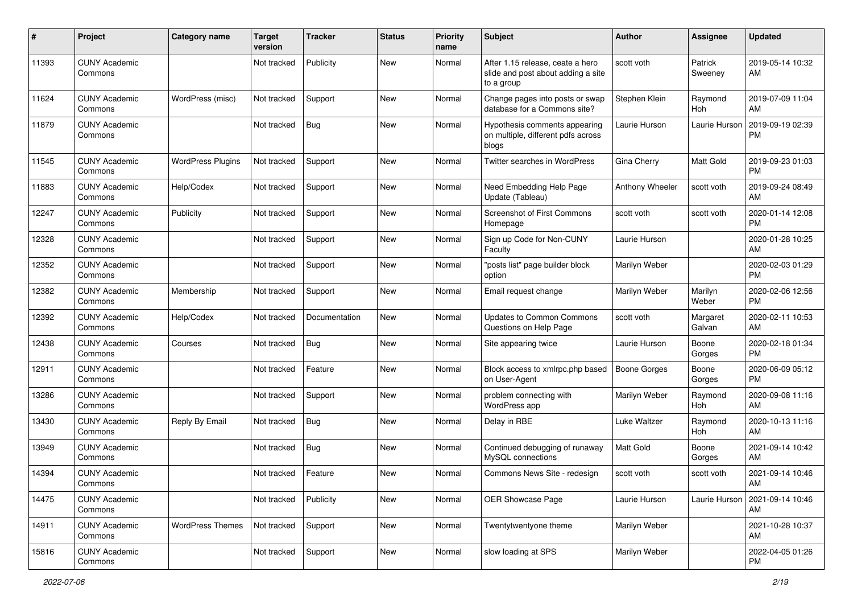| #     | Project                         | <b>Category name</b>     | <b>Target</b><br>version | <b>Tracker</b> | <b>Status</b> | <b>Priority</b><br>name | <b>Subject</b>                                                                       | Author              | <b>Assignee</b>    | <b>Updated</b>                |
|-------|---------------------------------|--------------------------|--------------------------|----------------|---------------|-------------------------|--------------------------------------------------------------------------------------|---------------------|--------------------|-------------------------------|
| 11393 | <b>CUNY Academic</b><br>Commons |                          | Not tracked              | Publicity      | <b>New</b>    | Normal                  | After 1.15 release, ceate a hero<br>slide and post about adding a site<br>to a group | scott voth          | Patrick<br>Sweeney | 2019-05-14 10:32<br>AM        |
| 11624 | <b>CUNY Academic</b><br>Commons | WordPress (misc)         | Not tracked              | Support        | <b>New</b>    | Normal                  | Change pages into posts or swap<br>database for a Commons site?                      | Stephen Klein       | Raymond<br>Hoh     | 2019-07-09 11:04<br>AM        |
| 11879 | <b>CUNY Academic</b><br>Commons |                          | Not tracked              | <b>Bug</b>     | New           | Normal                  | Hypothesis comments appearing<br>on multiple, different pdfs across<br>blogs         | Laurie Hurson       | Laurie Hurson      | 2019-09-19 02:39<br><b>PM</b> |
| 11545 | <b>CUNY Academic</b><br>Commons | <b>WordPress Plugins</b> | Not tracked              | Support        | New           | Normal                  | Twitter searches in WordPress                                                        | Gina Cherry         | Matt Gold          | 2019-09-23 01:03<br><b>PM</b> |
| 11883 | <b>CUNY Academic</b><br>Commons | Help/Codex               | Not tracked              | Support        | <b>New</b>    | Normal                  | Need Embedding Help Page<br>Update (Tableau)                                         | Anthony Wheeler     | scott voth         | 2019-09-24 08:49<br>AM        |
| 12247 | <b>CUNY Academic</b><br>Commons | Publicity                | Not tracked              | Support        | <b>New</b>    | Normal                  | <b>Screenshot of First Commons</b><br>Homepage                                       | scott voth          | scott voth         | 2020-01-14 12:08<br><b>PM</b> |
| 12328 | <b>CUNY Academic</b><br>Commons |                          | Not tracked              | Support        | <b>New</b>    | Normal                  | Sign up Code for Non-CUNY<br>Faculty                                                 | Laurie Hurson       |                    | 2020-01-28 10:25<br>AM        |
| 12352 | <b>CUNY Academic</b><br>Commons |                          | Not tracked              | Support        | New           | Normal                  | "posts list" page builder block<br>option                                            | Marilyn Weber       |                    | 2020-02-03 01:29<br><b>PM</b> |
| 12382 | <b>CUNY Academic</b><br>Commons | Membership               | Not tracked              | Support        | <b>New</b>    | Normal                  | Email request change                                                                 | Marilyn Weber       | Marilyn<br>Weber   | 2020-02-06 12:56<br><b>PM</b> |
| 12392 | <b>CUNY Academic</b><br>Commons | Help/Codex               | Not tracked              | Documentation  | New           | Normal                  | <b>Updates to Common Commons</b><br>Questions on Help Page                           | scott voth          | Margaret<br>Galvan | 2020-02-11 10:53<br>AM        |
| 12438 | <b>CUNY Academic</b><br>Commons | Courses                  | Not tracked              | <b>Bug</b>     | New           | Normal                  | Site appearing twice                                                                 | Laurie Hurson       | Boone<br>Gorges    | 2020-02-18 01:34<br><b>PM</b> |
| 12911 | <b>CUNY Academic</b><br>Commons |                          | Not tracked              | Feature        | New           | Normal                  | Block access to xmlrpc.php based<br>on User-Agent                                    | <b>Boone Gorges</b> | Boone<br>Gorges    | 2020-06-09 05:12<br><b>PM</b> |
| 13286 | <b>CUNY Academic</b><br>Commons |                          | Not tracked              | Support        | <b>New</b>    | Normal                  | problem connecting with<br>WordPress app                                             | Marilyn Weber       | Raymond<br>Hoh     | 2020-09-08 11:16<br>AM        |
| 13430 | <b>CUNY Academic</b><br>Commons | Reply By Email           | Not tracked              | <b>Bug</b>     | <b>New</b>    | Normal                  | Delay in RBE                                                                         | <b>Luke Waltzer</b> | Raymond<br>Hoh     | 2020-10-13 11:16<br>AM        |
| 13949 | <b>CUNY Academic</b><br>Commons |                          | Not tracked              | Bug            | New           | Normal                  | Continued debugging of runaway<br>MySQL connections                                  | Matt Gold           | Boone<br>Gorges    | 2021-09-14 10:42<br>AM        |
| 14394 | <b>CUNY Academic</b><br>Commons |                          | Not tracked              | Feature        | New           | Normal                  | Commons News Site - redesign                                                         | scott voth          | scott voth         | 2021-09-14 10:46<br>AM        |
| 14475 | <b>CUNY Academic</b><br>Commons |                          | Not tracked              | Publicity      | New           | Normal                  | OER Showcase Page                                                                    | Laurie Hurson       | Laurie Hurson      | 2021-09-14 10:46<br>AM        |
| 14911 | <b>CUNY Academic</b><br>Commons | <b>WordPress Themes</b>  | Not tracked              | Support        | New           | Normal                  | Twentytwentyone theme                                                                | Marilyn Weber       |                    | 2021-10-28 10:37<br>AM        |
| 15816 | <b>CUNY Academic</b><br>Commons |                          | Not tracked              | Support        | New           | Normal                  | slow loading at SPS                                                                  | Marilyn Weber       |                    | 2022-04-05 01:26<br><b>PM</b> |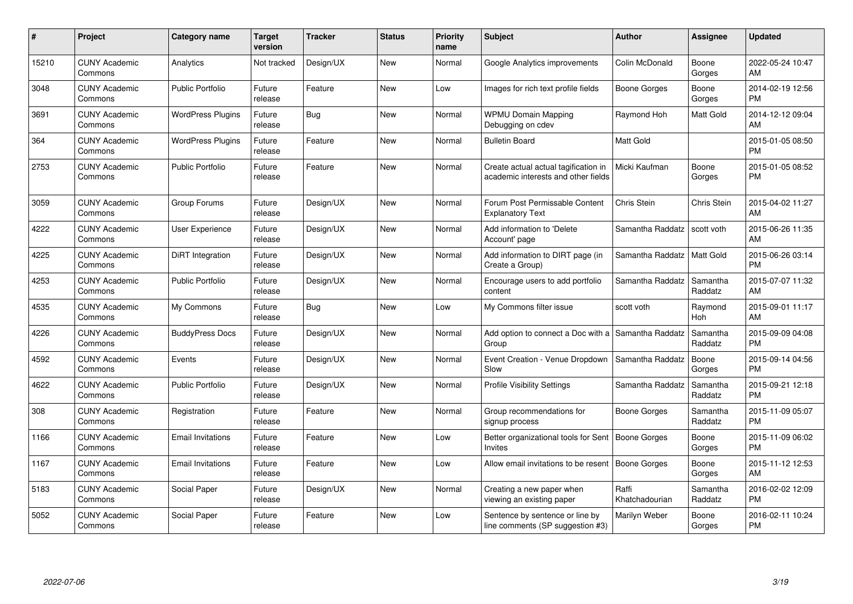| #     | Project                         | <b>Category name</b>     | Target<br>version | <b>Tracker</b> | <b>Status</b> | <b>Priority</b><br>name | <b>Subject</b>                                                              | <b>Author</b>           | Assignee            | <b>Updated</b>                |
|-------|---------------------------------|--------------------------|-------------------|----------------|---------------|-------------------------|-----------------------------------------------------------------------------|-------------------------|---------------------|-------------------------------|
| 15210 | <b>CUNY Academic</b><br>Commons | Analytics                | Not tracked       | Design/UX      | <b>New</b>    | Normal                  | Google Analytics improvements                                               | Colin McDonald          | Boone<br>Gorges     | 2022-05-24 10:47<br>AM        |
| 3048  | <b>CUNY Academic</b><br>Commons | <b>Public Portfolio</b>  | Future<br>release | Feature        | New           | Low                     | Images for rich text profile fields                                         | Boone Gorges            | Boone<br>Gorges     | 2014-02-19 12:56<br><b>PM</b> |
| 3691  | <b>CUNY Academic</b><br>Commons | <b>WordPress Plugins</b> | Future<br>release | <b>Bug</b>     | New           | Normal                  | <b>WPMU Domain Mapping</b><br>Debugging on cdev                             | Raymond Hoh             | Matt Gold           | 2014-12-12 09:04<br>AM        |
| 364   | <b>CUNY Academic</b><br>Commons | <b>WordPress Plugins</b> | Future<br>release | Feature        | New           | Normal                  | <b>Bulletin Board</b>                                                       | Matt Gold               |                     | 2015-01-05 08:50<br><b>PM</b> |
| 2753  | <b>CUNY Academic</b><br>Commons | <b>Public Portfolio</b>  | Future<br>release | Feature        | <b>New</b>    | Normal                  | Create actual actual tagification in<br>academic interests and other fields | Micki Kaufman           | Boone<br>Gorges     | 2015-01-05 08:52<br><b>PM</b> |
| 3059  | <b>CUNY Academic</b><br>Commons | Group Forums             | Future<br>release | Design/UX      | New           | Normal                  | Forum Post Permissable Content<br><b>Explanatory Text</b>                   | Chris Stein             | Chris Stein         | 2015-04-02 11:27<br>AM        |
| 4222  | <b>CUNY Academic</b><br>Commons | User Experience          | Future<br>release | Design/UX      | New           | Normal                  | Add information to 'Delete<br>Account' page                                 | Samantha Raddatz        | scott voth          | 2015-06-26 11:35<br>AM        |
| 4225  | <b>CUNY Academic</b><br>Commons | DiRT Integration         | Future<br>release | Design/UX      | <b>New</b>    | Normal                  | Add information to DIRT page (in<br>Create a Group)                         | Samantha Raddatz        | Matt Gold           | 2015-06-26 03:14<br><b>PM</b> |
| 4253  | <b>CUNY Academic</b><br>Commons | <b>Public Portfolio</b>  | Future<br>release | Design/UX      | New           | Normal                  | Encourage users to add portfolio<br>content                                 | Samantha Raddatz        | Samantha<br>Raddatz | 2015-07-07 11:32<br>AM        |
| 4535  | <b>CUNY Academic</b><br>Commons | My Commons               | Future<br>release | <b>Bug</b>     | <b>New</b>    | Low                     | My Commons filter issue                                                     | scott voth              | Raymond<br>Hoh      | 2015-09-01 11:17<br>AM        |
| 4226  | <b>CUNY Academic</b><br>Commons | <b>BuddyPress Docs</b>   | Future<br>release | Design/UX      | New           | Normal                  | Add option to connect a Doc with a<br>Group                                 | Samantha Raddatz        | Samantha<br>Raddatz | 2015-09-09 04:08<br><b>PM</b> |
| 4592  | <b>CUNY Academic</b><br>Commons | Events                   | Future<br>release | Design/UX      | New           | Normal                  | Event Creation - Venue Dropdown<br>Slow                                     | Samantha Raddatz        | Boone<br>Gorges     | 2015-09-14 04:56<br><b>PM</b> |
| 4622  | <b>CUNY Academic</b><br>Commons | <b>Public Portfolio</b>  | Future<br>release | Design/UX      | New           | Normal                  | <b>Profile Visibility Settings</b>                                          | Samantha Raddatz        | Samantha<br>Raddatz | 2015-09-21 12:18<br><b>PM</b> |
| 308   | <b>CUNY Academic</b><br>Commons | Registration             | Future<br>release | Feature        | <b>New</b>    | Normal                  | Group recommendations for<br>signup process                                 | Boone Gorges            | Samantha<br>Raddatz | 2015-11-09 05:07<br><b>PM</b> |
| 1166  | <b>CUNY Academic</b><br>Commons | <b>Email Invitations</b> | Future<br>release | Feature        | <b>New</b>    | Low                     | Better organizational tools for Sent   Boone Gorges<br>Invites              |                         | Boone<br>Gorges     | 2015-11-09 06:02<br><b>PM</b> |
| 1167  | <b>CUNY Academic</b><br>Commons | <b>Email Invitations</b> | Future<br>release | Feature        | <b>New</b>    | Low                     | Allow email invitations to be resent   Boone Gorges                         |                         | Boone<br>Gorges     | 2015-11-12 12:53<br>AM        |
| 5183  | <b>CUNY Academic</b><br>Commons | Social Paper             | Future<br>release | Design/UX      | <b>New</b>    | Normal                  | Creating a new paper when<br>viewing an existing paper                      | Raffi<br>Khatchadourian | Samantha<br>Raddatz | 2016-02-02 12:09<br><b>PM</b> |
| 5052  | <b>CUNY Academic</b><br>Commons | Social Paper             | Future<br>release | Feature        | New           | Low                     | Sentence by sentence or line by<br>line comments (SP suggestion #3)         | Marilyn Weber           | Boone<br>Gorges     | 2016-02-11 10:24<br><b>PM</b> |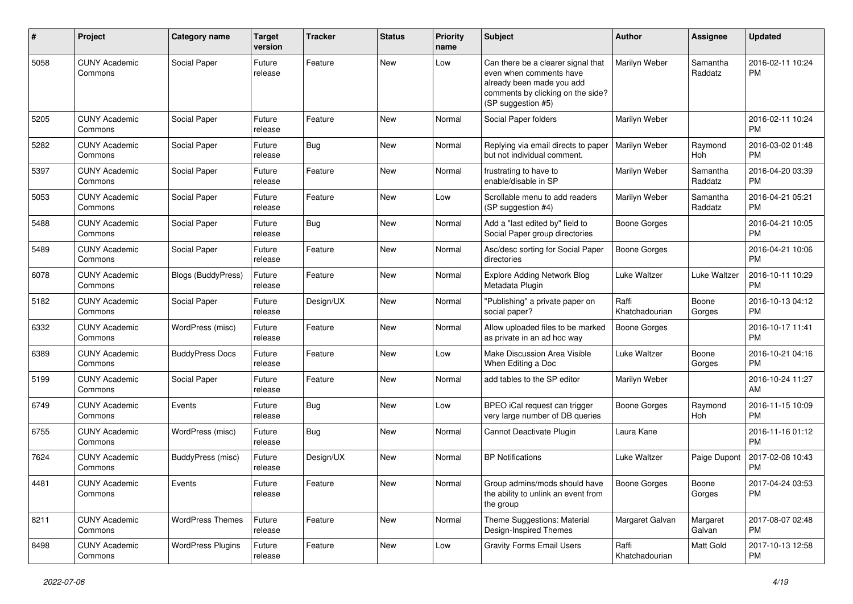| #    | Project                         | Category name            | <b>Target</b><br>version | <b>Tracker</b> | <b>Status</b> | <b>Priority</b><br>name | Subject                                                                                                                                               | <b>Author</b>           | <b>Assignee</b>     | <b>Updated</b>                |
|------|---------------------------------|--------------------------|--------------------------|----------------|---------------|-------------------------|-------------------------------------------------------------------------------------------------------------------------------------------------------|-------------------------|---------------------|-------------------------------|
| 5058 | <b>CUNY Academic</b><br>Commons | Social Paper             | Future<br>release        | Feature        | <b>New</b>    | Low                     | Can there be a clearer signal that<br>even when comments have<br>already been made you add<br>comments by clicking on the side?<br>(SP suggestion #5) | Marilyn Weber           | Samantha<br>Raddatz | 2016-02-11 10:24<br><b>PM</b> |
| 5205 | <b>CUNY Academic</b><br>Commons | Social Paper             | Future<br>release        | Feature        | New           | Normal                  | Social Paper folders                                                                                                                                  | Marilyn Weber           |                     | 2016-02-11 10:24<br><b>PM</b> |
| 5282 | <b>CUNY Academic</b><br>Commons | Social Paper             | Future<br>release        | Bug            | <b>New</b>    | Normal                  | Replying via email directs to paper<br>but not individual comment.                                                                                    | Marilyn Weber           | Raymond<br>Hoh      | 2016-03-02 01:48<br><b>PM</b> |
| 5397 | <b>CUNY Academic</b><br>Commons | Social Paper             | Future<br>release        | Feature        | New           | Normal                  | frustrating to have to<br>enable/disable in SP                                                                                                        | Marilyn Weber           | Samantha<br>Raddatz | 2016-04-20 03:39<br><b>PM</b> |
| 5053 | <b>CUNY Academic</b><br>Commons | Social Paper             | Future<br>release        | Feature        | <b>New</b>    | Low                     | Scrollable menu to add readers<br>(SP suggestion #4)                                                                                                  | Marilyn Weber           | Samantha<br>Raddatz | 2016-04-21 05:21<br><b>PM</b> |
| 5488 | <b>CUNY Academic</b><br>Commons | Social Paper             | Future<br>release        | Bug            | <b>New</b>    | Normal                  | Add a "last edited by" field to<br>Social Paper group directories                                                                                     | <b>Boone Gorges</b>     |                     | 2016-04-21 10:05<br><b>PM</b> |
| 5489 | <b>CUNY Academic</b><br>Commons | Social Paper             | Future<br>release        | Feature        | New           | Normal                  | Asc/desc sorting for Social Paper<br>directories                                                                                                      | <b>Boone Gorges</b>     |                     | 2016-04-21 10:06<br><b>PM</b> |
| 6078 | <b>CUNY Academic</b><br>Commons | Blogs (BuddyPress)       | Future<br>release        | Feature        | <b>New</b>    | Normal                  | <b>Explore Adding Network Blog</b><br>Metadata Plugin                                                                                                 | Luke Waltzer            | Luke Waltzer        | 2016-10-11 10:29<br><b>PM</b> |
| 5182 | <b>CUNY Academic</b><br>Commons | Social Paper             | Future<br>release        | Design/UX      | <b>New</b>    | Normal                  | "Publishing" a private paper on<br>social paper?                                                                                                      | Raffi<br>Khatchadourian | Boone<br>Gorges     | 2016-10-13 04:12<br><b>PM</b> |
| 6332 | <b>CUNY Academic</b><br>Commons | WordPress (misc)         | Future<br>release        | Feature        | <b>New</b>    | Normal                  | Allow uploaded files to be marked<br>as private in an ad hoc way                                                                                      | <b>Boone Gorges</b>     |                     | 2016-10-17 11:41<br><b>PM</b> |
| 6389 | <b>CUNY Academic</b><br>Commons | <b>BuddyPress Docs</b>   | Future<br>release        | Feature        | <b>New</b>    | Low                     | Make Discussion Area Visible<br>When Editing a Doc                                                                                                    | Luke Waltzer            | Boone<br>Gorges     | 2016-10-21 04:16<br><b>PM</b> |
| 5199 | <b>CUNY Academic</b><br>Commons | Social Paper             | Future<br>release        | Feature        | <b>New</b>    | Normal                  | add tables to the SP editor                                                                                                                           | Marilyn Weber           |                     | 2016-10-24 11:27<br>AM        |
| 6749 | <b>CUNY Academic</b><br>Commons | Events                   | Future<br>release        | <b>Bug</b>     | New           | Low                     | BPEO iCal request can trigger<br>very large number of DB queries                                                                                      | <b>Boone Gorges</b>     | Raymond<br>Hoh      | 2016-11-15 10:09<br><b>PM</b> |
| 6755 | <b>CUNY Academic</b><br>Commons | WordPress (misc)         | Future<br>release        | Bug            | <b>New</b>    | Normal                  | Cannot Deactivate Plugin                                                                                                                              | Laura Kane              |                     | 2016-11-16 01:12<br><b>PM</b> |
| 7624 | <b>CUNY Academic</b><br>Commons | BuddyPress (misc)        | Future<br>release        | Design/UX      | <b>New</b>    | Normal                  | <b>BP</b> Notifications                                                                                                                               | Luke Waltzer            | Paige Dupont        | 2017-02-08 10:43<br><b>PM</b> |
| 4481 | <b>CUNY Academic</b><br>Commons | Events                   | Future<br>release        | Feature        | New           | Normal                  | Group admins/mods should have<br>the ability to unlink an event from<br>the group                                                                     | <b>Boone Gorges</b>     | Boone<br>Gorges     | 2017-04-24 03:53<br><b>PM</b> |
| 8211 | <b>CUNY Academic</b><br>Commons | <b>WordPress Themes</b>  | Future<br>release        | Feature        | New           | Normal                  | Theme Suggestions: Material<br>Design-Inspired Themes                                                                                                 | Margaret Galvan         | Margaret<br>Galvan  | 2017-08-07 02:48<br><b>PM</b> |
| 8498 | <b>CUNY Academic</b><br>Commons | <b>WordPress Plugins</b> | Future<br>release        | Feature        | New           | Low                     | <b>Gravity Forms Email Users</b>                                                                                                                      | Raffi<br>Khatchadourian | Matt Gold           | 2017-10-13 12:58<br>PM        |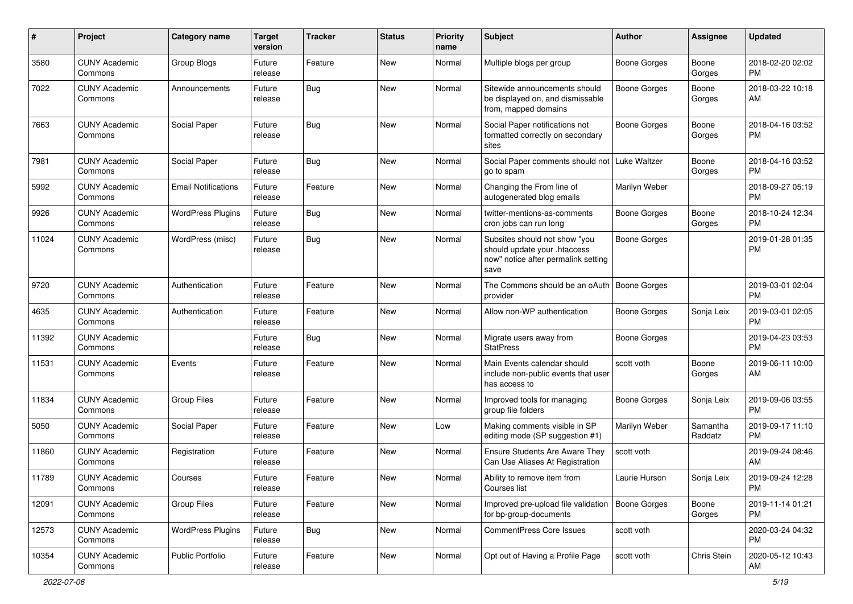| #     | Project                         | <b>Category name</b>       | <b>Target</b><br>version | <b>Tracker</b> | <b>Status</b> | <b>Priority</b><br>name | <b>Subject</b>                                                                                               | <b>Author</b>       | <b>Assignee</b>     | <b>Updated</b>                |
|-------|---------------------------------|----------------------------|--------------------------|----------------|---------------|-------------------------|--------------------------------------------------------------------------------------------------------------|---------------------|---------------------|-------------------------------|
| 3580  | <b>CUNY Academic</b><br>Commons | Group Blogs                | Future<br>release        | Feature        | New           | Normal                  | Multiple blogs per group                                                                                     | <b>Boone Gorges</b> | Boone<br>Gorges     | 2018-02-20 02:02<br>PM        |
| 7022  | <b>CUNY Academic</b><br>Commons | Announcements              | Future<br>release        | Bug            | New           | Normal                  | Sitewide announcements should<br>be displayed on, and dismissable<br>from, mapped domains                    | <b>Boone Gorges</b> | Boone<br>Gorges     | 2018-03-22 10:18<br>AM        |
| 7663  | <b>CUNY Academic</b><br>Commons | Social Paper               | Future<br>release        | <b>Bug</b>     | New           | Normal                  | Social Paper notifications not<br>formatted correctly on secondary<br>sites                                  | <b>Boone Gorges</b> | Boone<br>Gorges     | 2018-04-16 03:52<br><b>PM</b> |
| 7981  | <b>CUNY Academic</b><br>Commons | Social Paper               | Future<br>release        | Bug            | New           | Normal                  | Social Paper comments should not   Luke Waltzer<br>go to spam                                                |                     | Boone<br>Gorges     | 2018-04-16 03:52<br><b>PM</b> |
| 5992  | <b>CUNY Academic</b><br>Commons | <b>Email Notifications</b> | Future<br>release        | Feature        | New           | Normal                  | Changing the From line of<br>autogenerated blog emails                                                       | Marilyn Weber       |                     | 2018-09-27 05:19<br><b>PM</b> |
| 9926  | <b>CUNY Academic</b><br>Commons | <b>WordPress Plugins</b>   | Future<br>release        | Bug            | New           | Normal                  | twitter-mentions-as-comments<br>cron jobs can run long                                                       | <b>Boone Gorges</b> | Boone<br>Gorges     | 2018-10-24 12:34<br><b>PM</b> |
| 11024 | <b>CUNY Academic</b><br>Commons | WordPress (misc)           | Future<br>release        | <b>Bug</b>     | New           | Normal                  | Subsites should not show "you<br>should update your .htaccess<br>now" notice after permalink setting<br>save | <b>Boone Gorges</b> |                     | 2019-01-28 01:35<br><b>PM</b> |
| 9720  | <b>CUNY Academic</b><br>Commons | Authentication             | Future<br>release        | Feature        | New           | Normal                  | The Commons should be an oAuth   Boone Gorges<br>provider                                                    |                     |                     | 2019-03-01 02:04<br><b>PM</b> |
| 4635  | <b>CUNY Academic</b><br>Commons | Authentication             | Future<br>release        | Feature        | New           | Normal                  | Allow non-WP authentication                                                                                  | <b>Boone Gorges</b> | Sonja Leix          | 2019-03-01 02:05<br><b>PM</b> |
| 11392 | <b>CUNY Academic</b><br>Commons |                            | Future<br>release        | Bug            | New           | Normal                  | Migrate users away from<br><b>StatPress</b>                                                                  | <b>Boone Gorges</b> |                     | 2019-04-23 03:53<br><b>PM</b> |
| 11531 | <b>CUNY Academic</b><br>Commons | Events                     | Future<br>release        | Feature        | New           | Normal                  | Main Events calendar should<br>include non-public events that user<br>has access to                          | scott voth          | Boone<br>Gorges     | 2019-06-11 10:00<br>AM        |
| 11834 | <b>CUNY Academic</b><br>Commons | <b>Group Files</b>         | Future<br>release        | Feature        | New           | Normal                  | Improved tools for managing<br>group file folders                                                            | <b>Boone Gorges</b> | Sonja Leix          | 2019-09-06 03:55<br><b>PM</b> |
| 5050  | <b>CUNY Academic</b><br>Commons | Social Paper               | Future<br>release        | Feature        | New           | Low                     | Making comments visible in SP<br>editing mode (SP suggestion #1)                                             | Marilyn Weber       | Samantha<br>Raddatz | 2019-09-17 11:10<br><b>PM</b> |
| 11860 | <b>CUNY Academic</b><br>Commons | Registration               | Future<br>release        | Feature        | New           | Normal                  | <b>Ensure Students Are Aware They</b><br>Can Use Aliases At Registration                                     | scott voth          |                     | 2019-09-24 08:46<br>AM        |
| 11789 | <b>CUNY Academic</b><br>Commons | Courses                    | Future<br>release        | Feature        | New           | Normal                  | Ability to remove item from<br>Courses list                                                                  | Laurie Hurson       | Sonja Leix          | 2019-09-24 12:28<br>PM        |
| 12091 | <b>CUNY Academic</b><br>Commons | Group Files                | Future<br>release        | Feature        | New           | Normal                  | Improved pre-upload file validation<br>for bp-group-documents                                                | Boone Gorges        | Boone<br>Gorges     | 2019-11-14 01:21<br><b>PM</b> |
| 12573 | <b>CUNY Academic</b><br>Commons | <b>WordPress Plugins</b>   | Future<br>release        | Bug            | New           | Normal                  | CommentPress Core Issues                                                                                     | scott voth          |                     | 2020-03-24 04:32<br><b>PM</b> |
| 10354 | <b>CUNY Academic</b><br>Commons | Public Portfolio           | Future<br>release        | Feature        | New           | Normal                  | Opt out of Having a Profile Page                                                                             | scott voth          | Chris Stein         | 2020-05-12 10:43<br>AM        |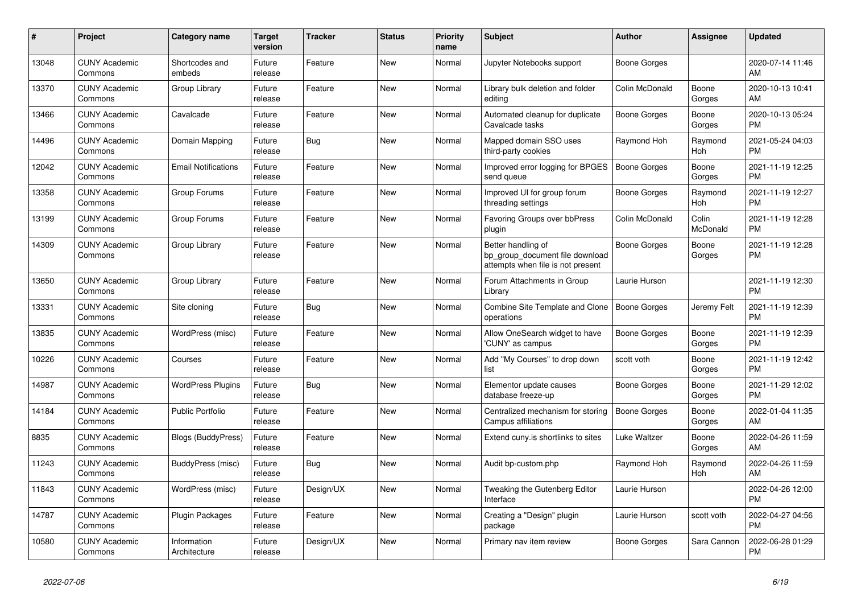| #     | <b>Project</b>                  | <b>Category name</b>        | <b>Target</b><br>version | <b>Tracker</b> | <b>Status</b> | <b>Priority</b><br>name | <b>Subject</b>                                                                             | <b>Author</b>       | Assignee          | <b>Updated</b>                |
|-------|---------------------------------|-----------------------------|--------------------------|----------------|---------------|-------------------------|--------------------------------------------------------------------------------------------|---------------------|-------------------|-------------------------------|
| 13048 | <b>CUNY Academic</b><br>Commons | Shortcodes and<br>embeds    | Future<br>release        | Feature        | New           | Normal                  | Jupyter Notebooks support                                                                  | Boone Gorges        |                   | 2020-07-14 11:46<br>AM        |
| 13370 | <b>CUNY Academic</b><br>Commons | Group Library               | Future<br>release        | Feature        | New           | Normal                  | Library bulk deletion and folder<br>editing                                                | Colin McDonald      | Boone<br>Gorges   | 2020-10-13 10:41<br>AM        |
| 13466 | <b>CUNY Academic</b><br>Commons | Cavalcade                   | Future<br>release        | Feature        | <b>New</b>    | Normal                  | Automated cleanup for duplicate<br>Cavalcade tasks                                         | Boone Gorges        | Boone<br>Gorges   | 2020-10-13 05:24<br><b>PM</b> |
| 14496 | <b>CUNY Academic</b><br>Commons | Domain Mapping              | Future<br>release        | <b>Bug</b>     | New           | Normal                  | Mapped domain SSO uses<br>third-party cookies                                              | Raymond Hoh         | Raymond<br>Hoh    | 2021-05-24 04:03<br><b>PM</b> |
| 12042 | <b>CUNY Academic</b><br>Commons | <b>Email Notifications</b>  | Future<br>release        | Feature        | New           | Normal                  | Improved error logging for BPGES<br>send queue                                             | <b>Boone Gorges</b> | Boone<br>Gorges   | 2021-11-19 12:25<br><b>PM</b> |
| 13358 | <b>CUNY Academic</b><br>Commons | Group Forums                | Future<br>release        | Feature        | <b>New</b>    | Normal                  | Improved UI for group forum<br>threading settings                                          | Boone Gorges        | Raymond<br>Hoh    | 2021-11-19 12:27<br><b>PM</b> |
| 13199 | <b>CUNY Academic</b><br>Commons | Group Forums                | Future<br>release        | Feature        | <b>New</b>    | Normal                  | Favoring Groups over bbPress<br>plugin                                                     | Colin McDonald      | Colin<br>McDonald | 2021-11-19 12:28<br><b>PM</b> |
| 14309 | <b>CUNY Academic</b><br>Commons | Group Library               | Future<br>release        | Feature        | New           | Normal                  | Better handling of<br>bp group document file download<br>attempts when file is not present | <b>Boone Gorges</b> | Boone<br>Gorges   | 2021-11-19 12:28<br><b>PM</b> |
| 13650 | <b>CUNY Academic</b><br>Commons | Group Library               | Future<br>release        | Feature        | <b>New</b>    | Normal                  | Forum Attachments in Group<br>Library                                                      | Laurie Hurson       |                   | 2021-11-19 12:30<br><b>PM</b> |
| 13331 | <b>CUNY Academic</b><br>Commons | Site cloning                | Future<br>release        | Bug            | New           | Normal                  | <b>Combine Site Template and Clone</b><br>operations                                       | Boone Gorges        | Jeremy Felt       | 2021-11-19 12:39<br><b>PM</b> |
| 13835 | <b>CUNY Academic</b><br>Commons | WordPress (misc)            | Future<br>release        | Feature        | <b>New</b>    | Normal                  | Allow OneSearch widget to have<br>'CUNY' as campus                                         | Boone Gorges        | Boone<br>Gorges   | 2021-11-19 12:39<br><b>PM</b> |
| 10226 | <b>CUNY Academic</b><br>Commons | Courses                     | Future<br>release        | Feature        | New           | Normal                  | Add "My Courses" to drop down<br>list                                                      | scott voth          | Boone<br>Gorges   | 2021-11-19 12:42<br>PM        |
| 14987 | <b>CUNY Academic</b><br>Commons | <b>WordPress Plugins</b>    | Future<br>release        | <b>Bug</b>     | <b>New</b>    | Normal                  | Elementor update causes<br>database freeze-up                                              | Boone Gorges        | Boone<br>Gorges   | 2021-11-29 12:02<br><b>PM</b> |
| 14184 | <b>CUNY Academic</b><br>Commons | <b>Public Portfolio</b>     | Future<br>release        | Feature        | New           | Normal                  | Centralized mechanism for storing<br>Campus affiliations                                   | Boone Gorges        | Boone<br>Gorges   | 2022-01-04 11:35<br>AM        |
| 8835  | <b>CUNY Academic</b><br>Commons | <b>Blogs (BuddyPress)</b>   | Future<br>release        | Feature        | <b>New</b>    | Normal                  | Extend cuny is shortlinks to sites                                                         | Luke Waltzer        | Boone<br>Gorges   | 2022-04-26 11:59<br>AM        |
| 11243 | <b>CUNY Academic</b><br>Commons | BuddyPress (misc)           | Future<br>release        | Bug            | New           | Normal                  | Audit bp-custom.php                                                                        | Raymond Hoh         | Raymond<br>Hoh    | 2022-04-26 11:59<br>AM        |
| 11843 | <b>CUNY Academic</b><br>Commons | WordPress (misc)            | Future<br>release        | Design/UX      | <b>New</b>    | Normal                  | Tweaking the Gutenberg Editor<br>Interface                                                 | Laurie Hurson       |                   | 2022-04-26 12:00<br><b>PM</b> |
| 14787 | <b>CUNY Academic</b><br>Commons | Plugin Packages             | Future<br>release        | Feature        | <b>New</b>    | Normal                  | Creating a "Design" plugin<br>package                                                      | Laurie Hurson       | scott voth        | 2022-04-27 04:56<br><b>PM</b> |
| 10580 | <b>CUNY Academic</b><br>Commons | Information<br>Architecture | Future<br>release        | Design/UX      | <b>New</b>    | Normal                  | Primary nav item review                                                                    | Boone Gorges        | Sara Cannon       | 2022-06-28 01:29<br>PM        |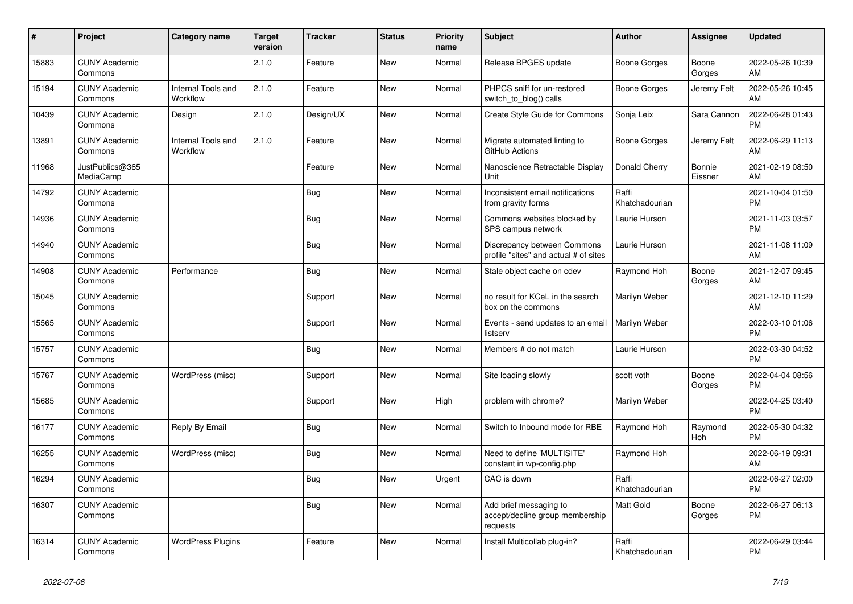| #     | Project                         | Category name                  | <b>Target</b><br>version | <b>Tracker</b> | <b>Status</b> | <b>Priority</b><br>name | <b>Subject</b>                                                        | Author                  | Assignee          | <b>Updated</b>                |
|-------|---------------------------------|--------------------------------|--------------------------|----------------|---------------|-------------------------|-----------------------------------------------------------------------|-------------------------|-------------------|-------------------------------|
| 15883 | <b>CUNY Academic</b><br>Commons |                                | 2.1.0                    | Feature        | <b>New</b>    | Normal                  | Release BPGES update                                                  | Boone Gorges            | Boone<br>Gorges   | 2022-05-26 10:39<br>AM        |
| 15194 | <b>CUNY Academic</b><br>Commons | Internal Tools and<br>Workflow | 2.1.0                    | Feature        | New           | Normal                  | PHPCS sniff for un-restored<br>switch_to_blog() calls                 | Boone Gorges            | Jeremy Felt       | 2022-05-26 10:45<br>AM        |
| 10439 | <b>CUNY Academic</b><br>Commons | Design                         | 2.1.0                    | Design/UX      | <b>New</b>    | Normal                  | Create Style Guide for Commons                                        | Sonja Leix              | Sara Cannon       | 2022-06-28 01:43<br><b>PM</b> |
| 13891 | <b>CUNY Academic</b><br>Commons | Internal Tools and<br>Workflow | 2.1.0                    | Feature        | <b>New</b>    | Normal                  | Migrate automated linting to<br>GitHub Actions                        | Boone Gorges            | Jeremy Felt       | 2022-06-29 11:13<br>AM        |
| 11968 | JustPublics@365<br>MediaCamp    |                                |                          | Feature        | New           | Normal                  | Nanoscience Retractable Display<br>Unit                               | Donald Cherry           | Bonnie<br>Eissner | 2021-02-19 08:50<br>AM        |
| 14792 | <b>CUNY Academic</b><br>Commons |                                |                          | <b>Bug</b>     | New           | Normal                  | Inconsistent email notifications<br>from gravity forms                | Raffi<br>Khatchadourian |                   | 2021-10-04 01:50<br><b>PM</b> |
| 14936 | <b>CUNY Academic</b><br>Commons |                                |                          | Bug            | <b>New</b>    | Normal                  | Commons websites blocked by<br>SPS campus network                     | Laurie Hurson           |                   | 2021-11-03 03:57<br><b>PM</b> |
| 14940 | <b>CUNY Academic</b><br>Commons |                                |                          | <b>Bug</b>     | New           | Normal                  | Discrepancy between Commons<br>profile "sites" and actual # of sites  | Laurie Hurson           |                   | 2021-11-08 11:09<br>AM        |
| 14908 | <b>CUNY Academic</b><br>Commons | Performance                    |                          | Bug            | <b>New</b>    | Normal                  | Stale object cache on cdev                                            | Raymond Hoh             | Boone<br>Gorges   | 2021-12-07 09:45<br>AM        |
| 15045 | <b>CUNY Academic</b><br>Commons |                                |                          | Support        | <b>New</b>    | Normal                  | no result for KCeL in the search<br>box on the commons                | Marilyn Weber           |                   | 2021-12-10 11:29<br>AM        |
| 15565 | <b>CUNY Academic</b><br>Commons |                                |                          | Support        | <b>New</b>    | Normal                  | Events - send updates to an email<br>listserv                         | Marilyn Weber           |                   | 2022-03-10 01:06<br><b>PM</b> |
| 15757 | <b>CUNY Academic</b><br>Commons |                                |                          | <b>Bug</b>     | New           | Normal                  | Members # do not match                                                | Laurie Hurson           |                   | 2022-03-30 04:52<br><b>PM</b> |
| 15767 | <b>CUNY Academic</b><br>Commons | WordPress (misc)               |                          | Support        | <b>New</b>    | Normal                  | Site loading slowly                                                   | scott voth              | Boone<br>Gorges   | 2022-04-04 08:56<br><b>PM</b> |
| 15685 | <b>CUNY Academic</b><br>Commons |                                |                          | Support        | <b>New</b>    | High                    | problem with chrome?                                                  | Marilyn Weber           |                   | 2022-04-25 03:40<br><b>PM</b> |
| 16177 | <b>CUNY Academic</b><br>Commons | Reply By Email                 |                          | <b>Bug</b>     | New           | Normal                  | Switch to Inbound mode for RBE                                        | Raymond Hoh             | Raymond<br>Hoh    | 2022-05-30 04:32<br><b>PM</b> |
| 16255 | <b>CUNY Academic</b><br>Commons | WordPress (misc)               |                          | <b>Bug</b>     | New           | Normal                  | Need to define 'MULTISITE'<br>constant in wp-config.php               | Raymond Hoh             |                   | 2022-06-19 09:31<br>AM        |
| 16294 | <b>CUNY Academic</b><br>Commons |                                |                          | <b>Bug</b>     | <b>New</b>    | Urgent                  | CAC is down                                                           | Raffi<br>Khatchadourian |                   | 2022-06-27 02:00<br><b>PM</b> |
| 16307 | <b>CUNY Academic</b><br>Commons |                                |                          | <b>Bug</b>     | New           | Normal                  | Add brief messaging to<br>accept/decline group membership<br>requests | Matt Gold               | Boone<br>Gorges   | 2022-06-27 06:13<br><b>PM</b> |
| 16314 | <b>CUNY Academic</b><br>Commons | <b>WordPress Plugins</b>       |                          | Feature        | <b>New</b>    | Normal                  | Install Multicollab plug-in?                                          | Raffi<br>Khatchadourian |                   | 2022-06-29 03:44<br><b>PM</b> |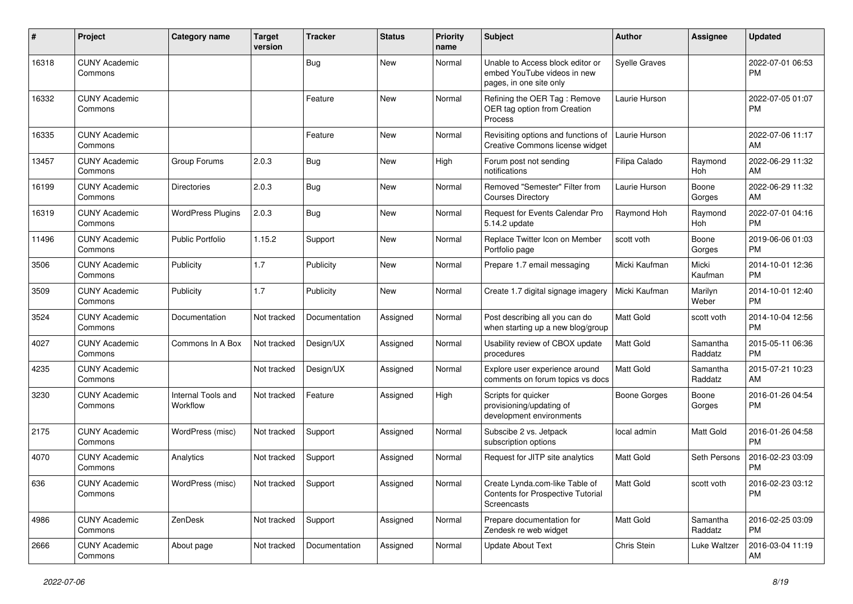| #     | Project                         | Category name                  | <b>Target</b><br>version | <b>Tracker</b> | <b>Status</b> | Priority<br>name | <b>Subject</b>                                                                             | <b>Author</b>        | <b>Assignee</b>     | <b>Updated</b>                |
|-------|---------------------------------|--------------------------------|--------------------------|----------------|---------------|------------------|--------------------------------------------------------------------------------------------|----------------------|---------------------|-------------------------------|
| 16318 | <b>CUNY Academic</b><br>Commons |                                |                          | <b>Bug</b>     | <b>New</b>    | Normal           | Unable to Access block editor or<br>embed YouTube videos in new<br>pages, in one site only | <b>Syelle Graves</b> |                     | 2022-07-01 06:53<br>PM        |
| 16332 | <b>CUNY Academic</b><br>Commons |                                |                          | Feature        | <b>New</b>    | Normal           | Refining the OER Tag: Remove<br>OER tag option from Creation<br>Process                    | Laurie Hurson        |                     | 2022-07-05 01:07<br><b>PM</b> |
| 16335 | <b>CUNY Academic</b><br>Commons |                                |                          | Feature        | <b>New</b>    | Normal           | Revisiting options and functions of<br>Creative Commons license widget                     | Laurie Hurson        |                     | 2022-07-06 11:17<br>AM        |
| 13457 | <b>CUNY Academic</b><br>Commons | Group Forums                   | 2.0.3                    | <b>Bug</b>     | New           | High             | Forum post not sending<br>notifications                                                    | Filipa Calado        | Raymond<br>Hoh      | 2022-06-29 11:32<br>AM        |
| 16199 | <b>CUNY Academic</b><br>Commons | <b>Directories</b>             | 2.0.3                    | Bug            | New           | Normal           | Removed "Semester" Filter from<br><b>Courses Directory</b>                                 | Laurie Hurson        | Boone<br>Gorges     | 2022-06-29 11:32<br>AM        |
| 16319 | <b>CUNY Academic</b><br>Commons | <b>WordPress Plugins</b>       | 2.0.3                    | <b>Bug</b>     | <b>New</b>    | Normal           | Request for Events Calendar Pro<br>5.14.2 update                                           | Raymond Hoh          | Raymond<br>Hoh      | 2022-07-01 04:16<br><b>PM</b> |
| 11496 | <b>CUNY Academic</b><br>Commons | Public Portfolio               | 1.15.2                   | Support        | <b>New</b>    | Normal           | Replace Twitter Icon on Member<br>Portfolio page                                           | scott voth           | Boone<br>Gorges     | 2019-06-06 01:03<br><b>PM</b> |
| 3506  | <b>CUNY Academic</b><br>Commons | Publicity                      | 1.7                      | Publicity      | New           | Normal           | Prepare 1.7 email messaging                                                                | Micki Kaufman        | Micki<br>Kaufman    | 2014-10-01 12:36<br><b>PM</b> |
| 3509  | <b>CUNY Academic</b><br>Commons | Publicity                      | 1.7                      | Publicity      | <b>New</b>    | Normal           | Create 1.7 digital signage imagery                                                         | Micki Kaufman        | Marilyn<br>Weber    | 2014-10-01 12:40<br><b>PM</b> |
| 3524  | <b>CUNY Academic</b><br>Commons | Documentation                  | Not tracked              | Documentation  | Assigned      | Normal           | Post describing all you can do<br>when starting up a new blog/group                        | Matt Gold            | scott voth          | 2014-10-04 12:56<br><b>PM</b> |
| 4027  | <b>CUNY Academic</b><br>Commons | Commons In A Box               | Not tracked              | Design/UX      | Assigned      | Normal           | Usability review of CBOX update<br>procedures                                              | <b>Matt Gold</b>     | Samantha<br>Raddatz | 2015-05-11 06:36<br><b>PM</b> |
| 4235  | <b>CUNY Academic</b><br>Commons |                                | Not tracked              | Design/UX      | Assigned      | Normal           | Explore user experience around<br>comments on forum topics vs docs                         | <b>Matt Gold</b>     | Samantha<br>Raddatz | 2015-07-21 10:23<br>AM        |
| 3230  | <b>CUNY Academic</b><br>Commons | Internal Tools and<br>Workflow | Not tracked              | Feature        | Assigned      | High             | Scripts for quicker<br>provisioning/updating of<br>development environments                | <b>Boone Gorges</b>  | Boone<br>Gorges     | 2016-01-26 04:54<br><b>PM</b> |
| 2175  | <b>CUNY Academic</b><br>Commons | WordPress (misc)               | Not tracked              | Support        | Assigned      | Normal           | Subscibe 2 vs. Jetpack<br>subscription options                                             | local admin          | Matt Gold           | 2016-01-26 04:58<br><b>PM</b> |
| 4070  | <b>CUNY Academic</b><br>Commons | Analytics                      | Not tracked              | Support        | Assigned      | Normal           | Request for JITP site analytics                                                            | <b>Matt Gold</b>     | Seth Persons        | 2016-02-23 03:09<br>PM        |
| 636   | <b>CUNY Academic</b><br>Commons | WordPress (misc)               | Not tracked              | Support        | Assigned      | Normal           | Create Lynda.com-like Table of<br><b>Contents for Prospective Tutorial</b><br>Screencasts  | Matt Gold            | scott voth          | 2016-02-23 03:12<br><b>PM</b> |
| 4986  | <b>CUNY Academic</b><br>Commons | ZenDesk                        | Not tracked              | Support        | Assigned      | Normal           | Prepare documentation for<br>Zendesk re web widget                                         | Matt Gold            | Samantha<br>Raddatz | 2016-02-25 03:09<br><b>PM</b> |
| 2666  | <b>CUNY Academic</b><br>Commons | About page                     | Not tracked              | Documentation  | Assigned      | Normal           | <b>Update About Text</b>                                                                   | Chris Stein          | Luke Waltzer        | 2016-03-04 11:19<br>AM        |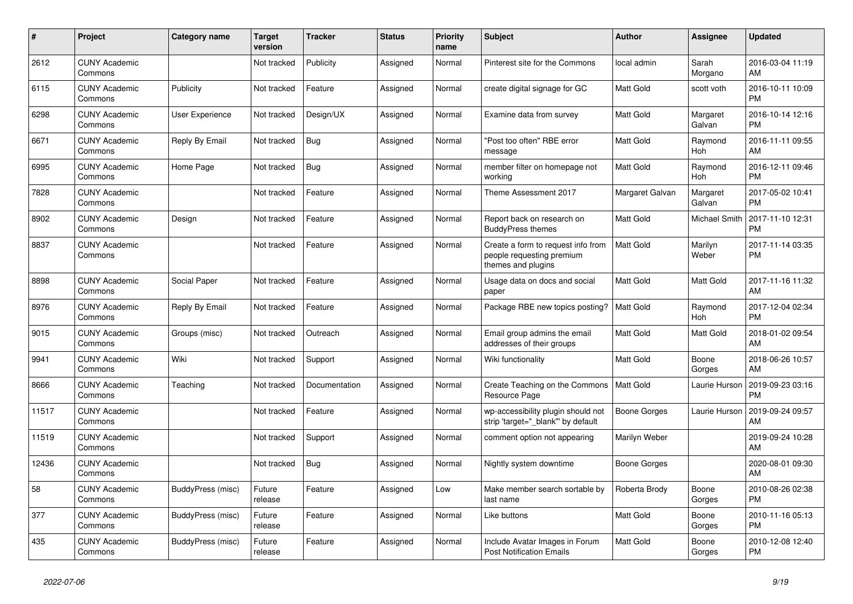| #     | Project                         | <b>Category name</b> | <b>Target</b><br>version | <b>Tracker</b> | <b>Status</b> | <b>Priority</b><br>name | <b>Subject</b>                                                                        | <b>Author</b>       | Assignee              | <b>Updated</b>                |
|-------|---------------------------------|----------------------|--------------------------|----------------|---------------|-------------------------|---------------------------------------------------------------------------------------|---------------------|-----------------------|-------------------------------|
| 2612  | <b>CUNY Academic</b><br>Commons |                      | Not tracked              | Publicity      | Assigned      | Normal                  | Pinterest site for the Commons                                                        | local admin         | Sarah<br>Morgano      | 2016-03-04 11:19<br>AM        |
| 6115  | <b>CUNY Academic</b><br>Commons | Publicity            | Not tracked              | Feature        | Assigned      | Normal                  | create digital signage for GC                                                         | Matt Gold           | scott voth            | 2016-10-11 10:09<br><b>PM</b> |
| 6298  | <b>CUNY Academic</b><br>Commons | User Experience      | Not tracked              | Design/UX      | Assigned      | Normal                  | Examine data from survey                                                              | Matt Gold           | Margaret<br>Galvan    | 2016-10-14 12:16<br>PM        |
| 6671  | <b>CUNY Academic</b><br>Commons | Reply By Email       | Not tracked              | <b>Bug</b>     | Assigned      | Normal                  | 'Post too often" RBE error<br>message                                                 | <b>Matt Gold</b>    | Raymond<br>Hoh        | 2016-11-11 09:55<br>AM        |
| 6995  | <b>CUNY Academic</b><br>Commons | Home Page            | Not tracked              | <b>Bug</b>     | Assigned      | Normal                  | member filter on homepage not<br>working                                              | Matt Gold           | Raymond<br><b>Hoh</b> | 2016-12-11 09:46<br>PM        |
| 7828  | <b>CUNY Academic</b><br>Commons |                      | Not tracked              | Feature        | Assigned      | Normal                  | Theme Assessment 2017                                                                 | Margaret Galvan     | Margaret<br>Galvan    | 2017-05-02 10:41<br>PM        |
| 8902  | <b>CUNY Academic</b><br>Commons | Design               | Not tracked              | Feature        | Assigned      | Normal                  | Report back on research on<br><b>BuddyPress themes</b>                                | Matt Gold           | Michael Smith         | 2017-11-10 12:31<br>PM        |
| 8837  | <b>CUNY Academic</b><br>Commons |                      | Not tracked              | Feature        | Assigned      | Normal                  | Create a form to request info from<br>people requesting premium<br>themes and plugins | Matt Gold           | Marilyn<br>Weber      | 2017-11-14 03:35<br><b>PM</b> |
| 8898  | <b>CUNY Academic</b><br>Commons | Social Paper         | Not tracked              | Feature        | Assigned      | Normal                  | Usage data on docs and social<br>paper                                                | Matt Gold           | Matt Gold             | 2017-11-16 11:32<br>AM        |
| 8976  | <b>CUNY Academic</b><br>Commons | Reply By Email       | Not tracked              | Feature        | Assigned      | Normal                  | Package RBE new topics posting?                                                       | <b>Matt Gold</b>    | Raymond<br>Hoh        | 2017-12-04 02:34<br>PM        |
| 9015  | <b>CUNY Academic</b><br>Commons | Groups (misc)        | Not tracked              | Outreach       | Assigned      | Normal                  | Email group admins the email<br>addresses of their groups                             | Matt Gold           | Matt Gold             | 2018-01-02 09:54<br>AM        |
| 9941  | <b>CUNY Academic</b><br>Commons | Wiki                 | Not tracked              | Support        | Assigned      | Normal                  | Wiki functionality                                                                    | <b>Matt Gold</b>    | Boone<br>Gorges       | 2018-06-26 10:57<br>AM        |
| 8666  | <b>CUNY Academic</b><br>Commons | Teaching             | Not tracked              | Documentation  | Assigned      | Normal                  | Create Teaching on the Commons<br>Resource Page                                       | Matt Gold           | Laurie Hurson         | 2019-09-23 03:16<br><b>PM</b> |
| 11517 | <b>CUNY Academic</b><br>Commons |                      | Not tracked              | Feature        | Assigned      | Normal                  | wp-accessibility plugin should not<br>strip 'target="_blank"' by default              | Boone Gorges        | Laurie Hurson         | 2019-09-24 09:57<br>AM        |
| 11519 | <b>CUNY Academic</b><br>Commons |                      | Not tracked              | Support        | Assigned      | Normal                  | comment option not appearing                                                          | Marilyn Weber       |                       | 2019-09-24 10:28<br>AM        |
| 12436 | <b>CUNY Academic</b><br>Commons |                      | Not tracked              | <b>Bug</b>     | Assigned      | Normal                  | Nightly system downtime                                                               | <b>Boone Gorges</b> |                       | 2020-08-01 09:30<br>AM        |
| 58    | <b>CUNY Academic</b><br>Commons | BuddyPress (misc)    | Future<br>release        | Feature        | Assigned      | Low                     | Make member search sortable by<br>last name                                           | Roberta Brody       | Boone<br>Gorges       | 2010-08-26 02:38<br><b>PM</b> |
| 377   | <b>CUNY Academic</b><br>Commons | BuddyPress (misc)    | Future<br>release        | Feature        | Assigned      | Normal                  | Like buttons                                                                          | Matt Gold           | Boone<br>Gorges       | 2010-11-16 05:13<br><b>PM</b> |
| 435   | <b>CUNY Academic</b><br>Commons | BuddyPress (misc)    | Future<br>release        | Feature        | Assigned      | Normal                  | Include Avatar Images in Forum<br><b>Post Notification Emails</b>                     | <b>Matt Gold</b>    | Boone<br>Gorges       | 2010-12-08 12:40<br><b>PM</b> |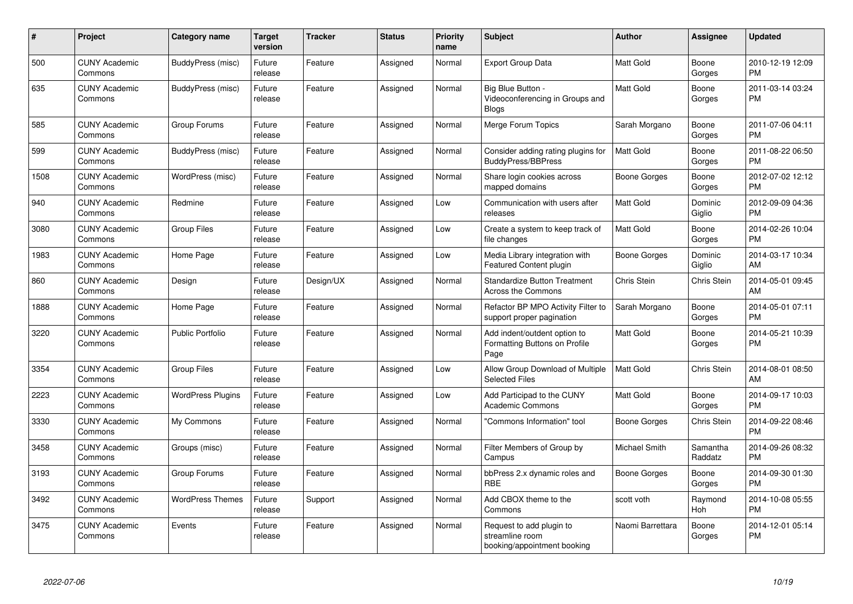| #    | <b>Project</b>                  | <b>Category name</b>     | <b>Target</b><br>version | <b>Tracker</b> | <b>Status</b> | <b>Priority</b><br>name | <b>Subject</b>                                                             | Author           | Assignee            | <b>Updated</b>                |
|------|---------------------------------|--------------------------|--------------------------|----------------|---------------|-------------------------|----------------------------------------------------------------------------|------------------|---------------------|-------------------------------|
| 500  | <b>CUNY Academic</b><br>Commons | BuddyPress (misc)        | Future<br>release        | Feature        | Assigned      | Normal                  | <b>Export Group Data</b>                                                   | <b>Matt Gold</b> | Boone<br>Gorges     | 2010-12-19 12:09<br><b>PM</b> |
| 635  | <b>CUNY Academic</b><br>Commons | BuddyPress (misc)        | Future<br>release        | Feature        | Assigned      | Normal                  | Big Blue Button -<br>Videoconferencing in Groups and<br><b>Blogs</b>       | <b>Matt Gold</b> | Boone<br>Gorges     | 2011-03-14 03:24<br><b>PM</b> |
| 585  | <b>CUNY Academic</b><br>Commons | Group Forums             | Future<br>release        | Feature        | Assigned      | Normal                  | Merge Forum Topics                                                         | Sarah Morgano    | Boone<br>Gorges     | 2011-07-06 04:11<br><b>PM</b> |
| 599  | <b>CUNY Academic</b><br>Commons | BuddyPress (misc)        | Future<br>release        | Feature        | Assigned      | Normal                  | Consider adding rating plugins for<br><b>BuddyPress/BBPress</b>            | <b>Matt Gold</b> | Boone<br>Gorges     | 2011-08-22 06:50<br><b>PM</b> |
| 1508 | <b>CUNY Academic</b><br>Commons | WordPress (misc)         | Future<br>release        | Feature        | Assigned      | Normal                  | Share login cookies across<br>mapped domains                               | Boone Gorges     | Boone<br>Gorges     | 2012-07-02 12:12<br><b>PM</b> |
| 940  | <b>CUNY Academic</b><br>Commons | Redmine                  | Future<br>release        | Feature        | Assigned      | Low                     | Communication with users after<br>releases                                 | <b>Matt Gold</b> | Dominic<br>Giglio   | 2012-09-09 04:36<br><b>PM</b> |
| 3080 | <b>CUNY Academic</b><br>Commons | <b>Group Files</b>       | Future<br>release        | Feature        | Assigned      | Low                     | Create a system to keep track of<br>file changes                           | <b>Matt Gold</b> | Boone<br>Gorges     | 2014-02-26 10:04<br><b>PM</b> |
| 1983 | <b>CUNY Academic</b><br>Commons | Home Page                | Future<br>release        | Feature        | Assigned      | Low                     | Media Library integration with<br>Featured Content plugin                  | Boone Gorges     | Dominic<br>Giglio   | 2014-03-17 10:34<br>AM        |
| 860  | <b>CUNY Academic</b><br>Commons | Design                   | Future<br>release        | Design/UX      | Assigned      | Normal                  | <b>Standardize Button Treatment</b><br><b>Across the Commons</b>           | Chris Stein      | Chris Stein         | 2014-05-01 09:45<br>AM        |
| 1888 | <b>CUNY Academic</b><br>Commons | Home Page                | Future<br>release        | Feature        | Assigned      | Normal                  | Refactor BP MPO Activity Filter to<br>support proper pagination            | Sarah Morgano    | Boone<br>Gorges     | 2014-05-01 07:11<br><b>PM</b> |
| 3220 | <b>CUNY Academic</b><br>Commons | Public Portfolio         | Future<br>release        | Feature        | Assigned      | Normal                  | Add indent/outdent option to<br>Formatting Buttons on Profile<br>Page      | <b>Matt Gold</b> | Boone<br>Gorges     | 2014-05-21 10:39<br><b>PM</b> |
| 3354 | <b>CUNY Academic</b><br>Commons | <b>Group Files</b>       | Future<br>release        | Feature        | Assigned      | Low                     | Allow Group Download of Multiple<br><b>Selected Files</b>                  | <b>Matt Gold</b> | Chris Stein         | 2014-08-01 08:50<br>AM        |
| 2223 | <b>CUNY Academic</b><br>Commons | <b>WordPress Plugins</b> | Future<br>release        | Feature        | Assigned      | Low                     | Add Participad to the CUNY<br><b>Academic Commons</b>                      | <b>Matt Gold</b> | Boone<br>Gorges     | 2014-09-17 10:03<br><b>PM</b> |
| 3330 | <b>CUNY Academic</b><br>Commons | My Commons               | Future<br>release        | Feature        | Assigned      | Normal                  | "Commons Information" tool                                                 | Boone Gorges     | Chris Stein         | 2014-09-22 08:46<br><b>PM</b> |
| 3458 | <b>CUNY Academic</b><br>Commons | Groups (misc)            | Future<br>release        | Feature        | Assigned      | Normal                  | Filter Members of Group by<br>Campus                                       | Michael Smith    | Samantha<br>Raddatz | 2014-09-26 08:32<br><b>PM</b> |
| 3193 | <b>CUNY Academic</b><br>Commons | Group Forums             | Future<br>release        | Feature        | Assigned      | Normal                  | bbPress 2.x dynamic roles and<br><b>RBE</b>                                | Boone Gorges     | Boone<br>Gorges     | 2014-09-30 01:30<br><b>PM</b> |
| 3492 | <b>CUNY Academic</b><br>Commons | <b>WordPress Themes</b>  | Future<br>release        | Support        | Assigned      | Normal                  | Add CBOX theme to the<br>Commons                                           | scott voth       | Raymond<br>Hoh      | 2014-10-08 05:55<br><b>PM</b> |
| 3475 | <b>CUNY Academic</b><br>Commons | Events                   | Future<br>release        | Feature        | Assigned      | Normal                  | Request to add plugin to<br>streamline room<br>booking/appointment booking | Naomi Barrettara | Boone<br>Gorges     | 2014-12-01 05:14<br><b>PM</b> |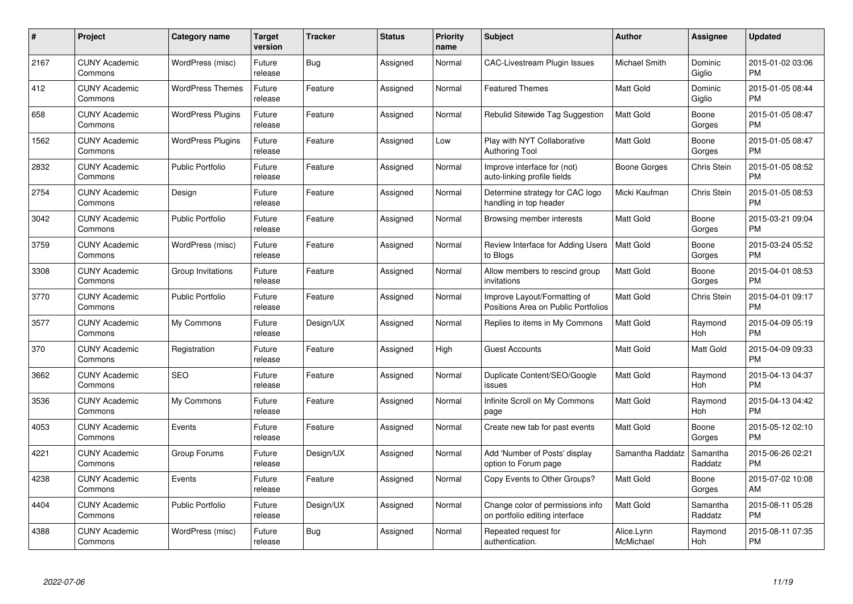| $\#$ | Project                         | <b>Category name</b>     | <b>Target</b><br>version | <b>Tracker</b> | <b>Status</b> | <b>Priority</b><br>name | <b>Subject</b>                                                      | <b>Author</b>           | <b>Assignee</b>     | <b>Updated</b>                |
|------|---------------------------------|--------------------------|--------------------------|----------------|---------------|-------------------------|---------------------------------------------------------------------|-------------------------|---------------------|-------------------------------|
| 2167 | <b>CUNY Academic</b><br>Commons | WordPress (misc)         | Future<br>release        | Bug            | Assigned      | Normal                  | <b>CAC-Livestream Plugin Issues</b>                                 | <b>Michael Smith</b>    | Dominic<br>Giglio   | 2015-01-02 03:06<br><b>PM</b> |
| 412  | <b>CUNY Academic</b><br>Commons | <b>WordPress Themes</b>  | Future<br>release        | Feature        | Assigned      | Normal                  | <b>Featured Themes</b>                                              | <b>Matt Gold</b>        | Dominic<br>Giglio   | 2015-01-05 08:44<br><b>PM</b> |
| 658  | <b>CUNY Academic</b><br>Commons | <b>WordPress Plugins</b> | Future<br>release        | Feature        | Assigned      | Normal                  | Rebulid Sitewide Tag Suggestion                                     | <b>Matt Gold</b>        | Boone<br>Gorges     | 2015-01-05 08:47<br><b>PM</b> |
| 1562 | <b>CUNY Academic</b><br>Commons | <b>WordPress Plugins</b> | Future<br>release        | Feature        | Assigned      | Low                     | Play with NYT Collaborative<br><b>Authoring Tool</b>                | Matt Gold               | Boone<br>Gorges     | 2015-01-05 08:47<br><b>PM</b> |
| 2832 | <b>CUNY Academic</b><br>Commons | <b>Public Portfolio</b>  | Future<br>release        | Feature        | Assigned      | Normal                  | Improve interface for (not)<br>auto-linking profile fields          | Boone Gorges            | Chris Stein         | 2015-01-05 08:52<br><b>PM</b> |
| 2754 | <b>CUNY Academic</b><br>Commons | Design                   | Future<br>release        | Feature        | Assigned      | Normal                  | Determine strategy for CAC logo<br>handling in top header           | Micki Kaufman           | Chris Stein         | 2015-01-05 08:53<br><b>PM</b> |
| 3042 | <b>CUNY Academic</b><br>Commons | <b>Public Portfolio</b>  | Future<br>release        | Feature        | Assigned      | Normal                  | Browsing member interests                                           | Matt Gold               | Boone<br>Gorges     | 2015-03-21 09:04<br><b>PM</b> |
| 3759 | <b>CUNY Academic</b><br>Commons | WordPress (misc)         | Future<br>release        | Feature        | Assigned      | Normal                  | Review Interface for Adding Users<br>to Blogs                       | Matt Gold               | Boone<br>Gorges     | 2015-03-24 05:52<br><b>PM</b> |
| 3308 | <b>CUNY Academic</b><br>Commons | Group Invitations        | Future<br>release        | Feature        | Assigned      | Normal                  | Allow members to rescind group<br>invitations                       | Matt Gold               | Boone<br>Gorges     | 2015-04-01 08:53<br><b>PM</b> |
| 3770 | <b>CUNY Academic</b><br>Commons | <b>Public Portfolio</b>  | Future<br>release        | Feature        | Assigned      | Normal                  | Improve Layout/Formatting of<br>Positions Area on Public Portfolios | <b>Matt Gold</b>        | Chris Stein         | 2015-04-01 09:17<br><b>PM</b> |
| 3577 | <b>CUNY Academic</b><br>Commons | My Commons               | Future<br>release        | Design/UX      | Assigned      | Normal                  | Replies to items in My Commons                                      | Matt Gold               | Raymond<br>Hoh      | 2015-04-09 05:19<br><b>PM</b> |
| 370  | <b>CUNY Academic</b><br>Commons | Registration             | Future<br>release        | Feature        | Assigned      | High                    | <b>Guest Accounts</b>                                               | <b>Matt Gold</b>        | Matt Gold           | 2015-04-09 09:33<br><b>PM</b> |
| 3662 | <b>CUNY Academic</b><br>Commons | <b>SEO</b>               | Future<br>release        | Feature        | Assigned      | Normal                  | Duplicate Content/SEO/Google<br>issues                              | <b>Matt Gold</b>        | Raymond<br>Hoh      | 2015-04-13 04:37<br><b>PM</b> |
| 3536 | <b>CUNY Academic</b><br>Commons | My Commons               | Future<br>release        | Feature        | Assigned      | Normal                  | Infinite Scroll on My Commons<br>page                               | Matt Gold               | Raymond<br>Hoh      | 2015-04-13 04:42<br><b>PM</b> |
| 4053 | <b>CUNY Academic</b><br>Commons | Events                   | Future<br>release        | Feature        | Assigned      | Normal                  | Create new tab for past events                                      | Matt Gold               | Boone<br>Gorges     | 2015-05-12 02:10<br><b>PM</b> |
| 4221 | <b>CUNY Academic</b><br>Commons | Group Forums             | Future<br>release        | Design/UX      | Assigned      | Normal                  | Add 'Number of Posts' display<br>option to Forum page               | Samantha Raddatz        | Samantha<br>Raddatz | 2015-06-26 02:21<br><b>PM</b> |
| 4238 | <b>CUNY Academic</b><br>Commons | Events                   | Future<br>release        | Feature        | Assigned      | Normal                  | Copy Events to Other Groups?                                        | <b>Matt Gold</b>        | Boone<br>Gorges     | 2015-07-02 10:08<br>AM        |
| 4404 | <b>CUNY Academic</b><br>Commons | <b>Public Portfolio</b>  | Future<br>release        | Design/UX      | Assigned      | Normal                  | Change color of permissions info<br>on portfolio editing interface  | Matt Gold               | Samantha<br>Raddatz | 2015-08-11 05:28<br><b>PM</b> |
| 4388 | CUNY Academic<br>Commons        | WordPress (misc)         | Future<br>release        | Bug            | Assigned      | Normal                  | Repeated request for<br>authentication.                             | Alice.Lynn<br>McMichael | Raymond<br>Hoh      | 2015-08-11 07:35<br>PM        |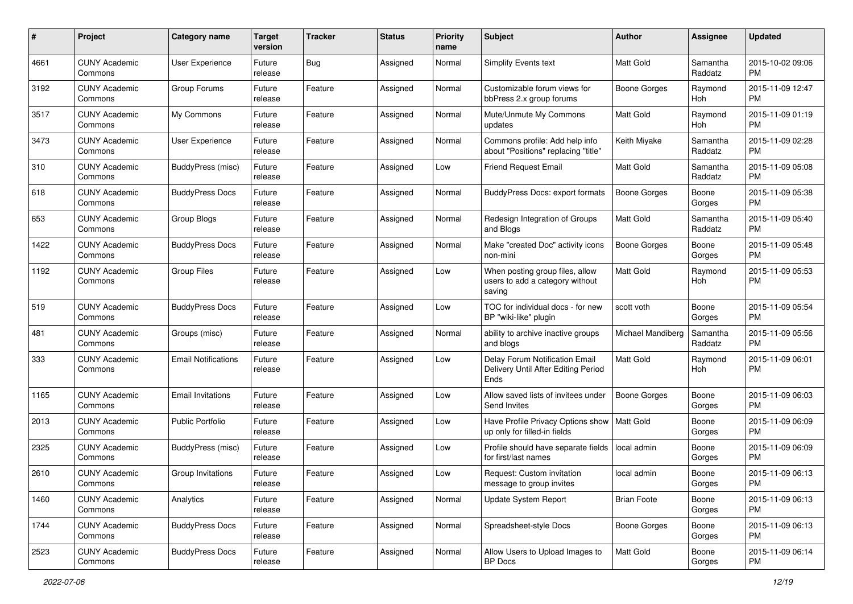| #    | Project                         | <b>Category name</b>       | <b>Target</b><br>version | <b>Tracker</b> | <b>Status</b> | <b>Priority</b><br>name | <b>Subject</b>                                                                | Author              | <b>Assignee</b>     | <b>Updated</b>                |
|------|---------------------------------|----------------------------|--------------------------|----------------|---------------|-------------------------|-------------------------------------------------------------------------------|---------------------|---------------------|-------------------------------|
| 4661 | <b>CUNY Academic</b><br>Commons | User Experience            | Future<br>release        | Bug            | Assigned      | Normal                  | <b>Simplify Events text</b>                                                   | <b>Matt Gold</b>    | Samantha<br>Raddatz | 2015-10-02 09:06<br>PM        |
| 3192 | <b>CUNY Academic</b><br>Commons | Group Forums               | Future<br>release        | Feature        | Assigned      | Normal                  | Customizable forum views for<br>bbPress 2.x group forums                      | <b>Boone Gorges</b> | Raymond<br>Hoh      | 2015-11-09 12:47<br><b>PM</b> |
| 3517 | CUNY Academic<br>Commons        | My Commons                 | Future<br>release        | Feature        | Assigned      | Normal                  | Mute/Unmute My Commons<br>updates                                             | <b>Matt Gold</b>    | Raymond<br>Hoh      | 2015-11-09 01:19<br><b>PM</b> |
| 3473 | <b>CUNY Academic</b><br>Commons | <b>User Experience</b>     | Future<br>release        | Feature        | Assigned      | Normal                  | Commons profile: Add help info<br>about "Positions" replacing "title"         | Keith Miyake        | Samantha<br>Raddatz | 2015-11-09 02:28<br><b>PM</b> |
| 310  | <b>CUNY Academic</b><br>Commons | BuddyPress (misc)          | Future<br>release        | Feature        | Assigned      | Low                     | <b>Friend Request Email</b>                                                   | Matt Gold           | Samantha<br>Raddatz | 2015-11-09 05:08<br><b>PM</b> |
| 618  | <b>CUNY Academic</b><br>Commons | <b>BuddyPress Docs</b>     | Future<br>release        | Feature        | Assigned      | Normal                  | <b>BuddyPress Docs: export formats</b>                                        | <b>Boone Gorges</b> | Boone<br>Gorges     | 2015-11-09 05:38<br><b>PM</b> |
| 653  | <b>CUNY Academic</b><br>Commons | Group Blogs                | Future<br>release        | Feature        | Assigned      | Normal                  | Redesign Integration of Groups<br>and Blogs                                   | Matt Gold           | Samantha<br>Raddatz | 2015-11-09 05:40<br><b>PM</b> |
| 1422 | <b>CUNY Academic</b><br>Commons | <b>BuddyPress Docs</b>     | Future<br>release        | Feature        | Assigned      | Normal                  | Make "created Doc" activity icons<br>non-mini                                 | <b>Boone Gorges</b> | Boone<br>Gorges     | 2015-11-09 05:48<br><b>PM</b> |
| 1192 | <b>CUNY Academic</b><br>Commons | <b>Group Files</b>         | Future<br>release        | Feature        | Assigned      | Low                     | When posting group files, allow<br>users to add a category without<br>saving  | Matt Gold           | Raymond<br>Hoh      | 2015-11-09 05:53<br>PM        |
| 519  | CUNY Academic<br>Commons        | <b>BuddyPress Docs</b>     | Future<br>release        | Feature        | Assigned      | Low                     | TOC for individual docs - for new<br>BP "wiki-like" plugin                    | scott voth          | Boone<br>Gorges     | 2015-11-09 05:54<br>PM        |
| 481  | <b>CUNY Academic</b><br>Commons | Groups (misc)              | Future<br>release        | Feature        | Assigned      | Normal                  | ability to archive inactive groups<br>and blogs                               | Michael Mandiberg   | Samantha<br>Raddatz | 2015-11-09 05:56<br><b>PM</b> |
| 333  | CUNY Academic<br>Commons        | <b>Email Notifications</b> | Future<br>release        | Feature        | Assigned      | Low                     | Delay Forum Notification Email<br>Delivery Until After Editing Period<br>Ends | <b>Matt Gold</b>    | Raymond<br>Hoh      | 2015-11-09 06:01<br><b>PM</b> |
| 1165 | <b>CUNY Academic</b><br>Commons | <b>Email Invitations</b>   | Future<br>release        | Feature        | Assigned      | Low                     | Allow saved lists of invitees under<br>Send Invites                           | <b>Boone Gorges</b> | Boone<br>Gorges     | 2015-11-09 06:03<br>PM        |
| 2013 | <b>CUNY Academic</b><br>Commons | <b>Public Portfolio</b>    | Future<br>release        | Feature        | Assigned      | Low                     | Have Profile Privacy Options show   Matt Gold<br>up only for filled-in fields |                     | Boone<br>Gorges     | 2015-11-09 06:09<br>PM        |
| 2325 | <b>CUNY Academic</b><br>Commons | BuddyPress (misc)          | Future<br>release        | Feature        | Assigned      | Low                     | Profile should have separate fields   local admin<br>for first/last names     |                     | Boone<br>Gorges     | 2015-11-09 06:09<br>PM        |
| 2610 | <b>CUNY Academic</b><br>Commons | Group Invitations          | Future<br>release        | Feature        | Assigned      | Low                     | Request: Custom invitation<br>message to group invites                        | local admin         | Boone<br>Gorges     | 2015-11-09 06:13<br>PM        |
| 1460 | <b>CUNY Academic</b><br>Commons | Analytics                  | Future<br>release        | Feature        | Assigned      | Normal                  | <b>Update System Report</b>                                                   | <b>Brian Foote</b>  | Boone<br>Gorges     | 2015-11-09 06:13<br>PM        |
| 1744 | <b>CUNY Academic</b><br>Commons | <b>BuddyPress Docs</b>     | Future<br>release        | Feature        | Assigned      | Normal                  | Spreadsheet-style Docs                                                        | Boone Gorges        | Boone<br>Gorges     | 2015-11-09 06:13<br><b>PM</b> |
| 2523 | <b>CUNY Academic</b><br>Commons | <b>BuddyPress Docs</b>     | Future<br>release        | Feature        | Assigned      | Normal                  | Allow Users to Upload Images to<br>BP Docs                                    | Matt Gold           | Boone<br>Gorges     | 2015-11-09 06:14<br><b>PM</b> |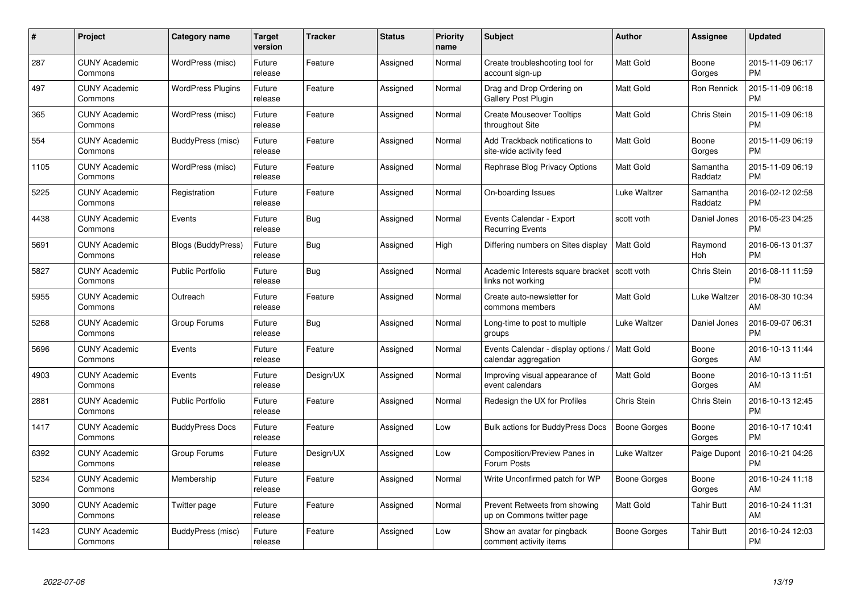| #    | Project                         | <b>Category name</b>      | <b>Target</b><br>version | <b>Tracker</b> | <b>Status</b> | <b>Priority</b><br>name | <b>Subject</b>                                                      | Author           | Assignee            | <b>Updated</b>                |
|------|---------------------------------|---------------------------|--------------------------|----------------|---------------|-------------------------|---------------------------------------------------------------------|------------------|---------------------|-------------------------------|
| 287  | <b>CUNY Academic</b><br>Commons | WordPress (misc)          | Future<br>release        | Feature        | Assigned      | Normal                  | Create troubleshooting tool for<br>account sign-up                  | <b>Matt Gold</b> | Boone<br>Gorges     | 2015-11-09 06:17<br><b>PM</b> |
| 497  | <b>CUNY Academic</b><br>Commons | <b>WordPress Plugins</b>  | Future<br>release        | Feature        | Assigned      | Normal                  | Drag and Drop Ordering on<br>Gallery Post Plugin                    | <b>Matt Gold</b> | Ron Rennick         | 2015-11-09 06:18<br><b>PM</b> |
| 365  | <b>CUNY Academic</b><br>Commons | WordPress (misc)          | Future<br>release        | Feature        | Assigned      | Normal                  | <b>Create Mouseover Tooltips</b><br>throughout Site                 | <b>Matt Gold</b> | Chris Stein         | 2015-11-09 06:18<br><b>PM</b> |
| 554  | <b>CUNY Academic</b><br>Commons | BuddyPress (misc)         | Future<br>release        | Feature        | Assigned      | Normal                  | Add Trackback notifications to<br>site-wide activity feed           | <b>Matt Gold</b> | Boone<br>Gorges     | 2015-11-09 06:19<br><b>PM</b> |
| 1105 | <b>CUNY Academic</b><br>Commons | WordPress (misc)          | Future<br>release        | Feature        | Assigned      | Normal                  | Rephrase Blog Privacy Options                                       | <b>Matt Gold</b> | Samantha<br>Raddatz | 2015-11-09 06:19<br><b>PM</b> |
| 5225 | <b>CUNY Academic</b><br>Commons | Registration              | Future<br>release        | Feature        | Assigned      | Normal                  | On-boarding Issues                                                  | Luke Waltzer     | Samantha<br>Raddatz | 2016-02-12 02:58<br><b>PM</b> |
| 4438 | <b>CUNY Academic</b><br>Commons | Events                    | Future<br>release        | Bug            | Assigned      | Normal                  | Events Calendar - Export<br><b>Recurring Events</b>                 | scott voth       | Daniel Jones        | 2016-05-23 04:25<br><b>PM</b> |
| 5691 | <b>CUNY Academic</b><br>Commons | <b>Blogs (BuddyPress)</b> | Future<br>release        | Bug            | Assigned      | High                    | Differing numbers on Sites display                                  | Matt Gold        | Raymond<br>Hoh      | 2016-06-13 01:37<br><b>PM</b> |
| 5827 | <b>CUNY Academic</b><br>Commons | <b>Public Portfolio</b>   | Future<br>release        | Bug            | Assigned      | Normal                  | Academic Interests square bracket   scott voth<br>links not working |                  | Chris Stein         | 2016-08-11 11:59<br><b>PM</b> |
| 5955 | <b>CUNY Academic</b><br>Commons | Outreach                  | Future<br>release        | Feature        | Assigned      | Normal                  | Create auto-newsletter for<br>commons members                       | Matt Gold        | Luke Waltzer        | 2016-08-30 10:34<br>AM        |
| 5268 | <b>CUNY Academic</b><br>Commons | Group Forums              | Future<br>release        | Bug            | Assigned      | Normal                  | Long-time to post to multiple<br>groups                             | Luke Waltzer     | Daniel Jones        | 2016-09-07 06:31<br><b>PM</b> |
| 5696 | <b>CUNY Academic</b><br>Commons | Events                    | Future<br>release        | Feature        | Assigned      | Normal                  | Events Calendar - display options<br>calendar aggregation           | Matt Gold        | Boone<br>Gorges     | 2016-10-13 11:44<br>AM        |
| 4903 | <b>CUNY Academic</b><br>Commons | Events                    | Future<br>release        | Design/UX      | Assigned      | Normal                  | Improving visual appearance of<br>event calendars                   | <b>Matt Gold</b> | Boone<br>Gorges     | 2016-10-13 11:51<br>AM        |
| 2881 | <b>CUNY Academic</b><br>Commons | <b>Public Portfolio</b>   | Future<br>release        | Feature        | Assigned      | Normal                  | Redesign the UX for Profiles                                        | Chris Stein      | Chris Stein         | 2016-10-13 12:45<br><b>PM</b> |
| 1417 | <b>CUNY Academic</b><br>Commons | <b>BuddyPress Docs</b>    | Future<br>release        | Feature        | Assigned      | Low                     | <b>Bulk actions for BuddyPress Docs</b>                             | Boone Gorges     | Boone<br>Gorges     | 2016-10-17 10:41<br><b>PM</b> |
| 6392 | <b>CUNY Academic</b><br>Commons | Group Forums              | Future<br>release        | Design/UX      | Assigned      | Low                     | Composition/Preview Panes in<br>Forum Posts                         | Luke Waltzer     | Paige Dupont        | 2016-10-21 04:26<br><b>PM</b> |
| 5234 | <b>CUNY Academic</b><br>Commons | Membership                | Future<br>release        | Feature        | Assigned      | Normal                  | Write Unconfirmed patch for WP                                      | Boone Gorges     | Boone<br>Gorges     | 2016-10-24 11:18<br>AM        |
| 3090 | <b>CUNY Academic</b><br>Commons | Twitter page              | Future<br>release        | Feature        | Assigned      | Normal                  | Prevent Retweets from showing<br>up on Commons twitter page         | <b>Matt Gold</b> | <b>Tahir Butt</b>   | 2016-10-24 11:31<br>AM        |
| 1423 | <b>CUNY Academic</b><br>Commons | BuddyPress (misc)         | Future<br>release        | Feature        | Assigned      | Low                     | Show an avatar for pingback<br>comment activity items               | Boone Gorges     | Tahir Butt          | 2016-10-24 12:03<br><b>PM</b> |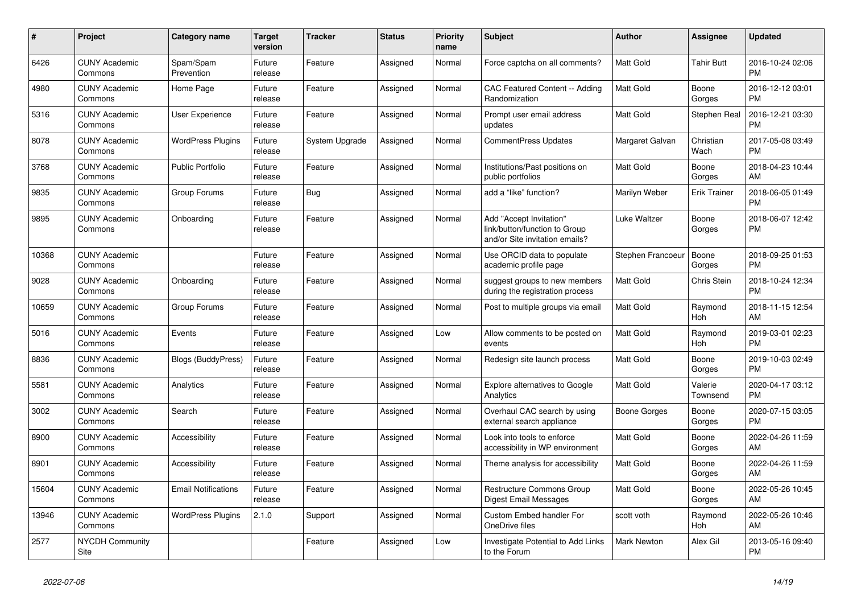| $\pmb{\#}$ | <b>Project</b>                  | <b>Category name</b>       | <b>Target</b><br>version | <b>Tracker</b> | <b>Status</b> | <b>Priority</b><br>name | <b>Subject</b>                                                                             | <b>Author</b>       | Assignee            | <b>Updated</b>                |
|------------|---------------------------------|----------------------------|--------------------------|----------------|---------------|-------------------------|--------------------------------------------------------------------------------------------|---------------------|---------------------|-------------------------------|
| 6426       | <b>CUNY Academic</b><br>Commons | Spam/Spam<br>Prevention    | Future<br>release        | Feature        | Assigned      | Normal                  | Force captcha on all comments?                                                             | <b>Matt Gold</b>    | <b>Tahir Butt</b>   | 2016-10-24 02:06<br><b>PM</b> |
| 4980       | <b>CUNY Academic</b><br>Commons | Home Page                  | Future<br>release        | Feature        | Assigned      | Normal                  | <b>CAC Featured Content -- Adding</b><br>Randomization                                     | Matt Gold           | Boone<br>Gorges     | 2016-12-12 03:01<br><b>PM</b> |
| 5316       | <b>CUNY Academic</b><br>Commons | <b>User Experience</b>     | Future<br>release        | Feature        | Assigned      | Normal                  | Prompt user email address<br>updates                                                       | Matt Gold           | Stephen Real        | 2016-12-21 03:30<br><b>PM</b> |
| 8078       | <b>CUNY Academic</b><br>Commons | <b>WordPress Plugins</b>   | Future<br>release        | System Upgrade | Assigned      | Normal                  | CommentPress Updates                                                                       | Margaret Galvan     | Christian<br>Wach   | 2017-05-08 03:49<br><b>PM</b> |
| 3768       | <b>CUNY Academic</b><br>Commons | <b>Public Portfolio</b>    | Future<br>release        | Feature        | Assigned      | Normal                  | Institutions/Past positions on<br>public portfolios                                        | Matt Gold           | Boone<br>Gorges     | 2018-04-23 10:44<br>AM        |
| 9835       | <b>CUNY Academic</b><br>Commons | Group Forums               | Future<br>release        | Bug            | Assigned      | Normal                  | add a "like" function?                                                                     | Marilyn Weber       | <b>Erik Trainer</b> | 2018-06-05 01:49<br><b>PM</b> |
| 9895       | <b>CUNY Academic</b><br>Commons | Onboarding                 | Future<br>release        | Feature        | Assigned      | Normal                  | Add "Accept Invitation"<br>link/button/function to Group<br>and/or Site invitation emails? | <b>Luke Waltzer</b> | Boone<br>Gorges     | 2018-06-07 12:42<br><b>PM</b> |
| 10368      | <b>CUNY Academic</b><br>Commons |                            | Future<br>release        | Feature        | Assigned      | Normal                  | Use ORCID data to populate<br>academic profile page                                        | Stephen Francoeur   | Boone<br>Gorges     | 2018-09-25 01:53<br><b>PM</b> |
| 9028       | <b>CUNY Academic</b><br>Commons | Onboarding                 | Future<br>release        | Feature        | Assigned      | Normal                  | suggest groups to new members<br>during the registration process                           | Matt Gold           | Chris Stein         | 2018-10-24 12:34<br><b>PM</b> |
| 10659      | <b>CUNY Academic</b><br>Commons | Group Forums               | Future<br>release        | Feature        | Assigned      | Normal                  | Post to multiple groups via email                                                          | <b>Matt Gold</b>    | Raymond<br>Hoh      | 2018-11-15 12:54<br>AM        |
| 5016       | <b>CUNY Academic</b><br>Commons | Events                     | Future<br>release        | Feature        | Assigned      | Low                     | Allow comments to be posted on<br>events                                                   | Matt Gold           | Raymond<br>Hoh      | 2019-03-01 02:23<br><b>PM</b> |
| 8836       | <b>CUNY Academic</b><br>Commons | Blogs (BuddyPress)         | Future<br>release        | Feature        | Assigned      | Normal                  | Redesign site launch process                                                               | Matt Gold           | Boone<br>Gorges     | 2019-10-03 02:49<br><b>PM</b> |
| 5581       | <b>CUNY Academic</b><br>Commons | Analytics                  | Future<br>release        | Feature        | Assigned      | Normal                  | <b>Explore alternatives to Google</b><br>Analytics                                         | <b>Matt Gold</b>    | Valerie<br>Townsend | 2020-04-17 03:12<br><b>PM</b> |
| 3002       | <b>CUNY Academic</b><br>Commons | Search                     | Future<br>release        | Feature        | Assigned      | Normal                  | Overhaul CAC search by using<br>external search appliance                                  | Boone Gorges        | Boone<br>Gorges     | 2020-07-15 03:05<br><b>PM</b> |
| 8900       | <b>CUNY Academic</b><br>Commons | Accessibility              | Future<br>release        | Feature        | Assigned      | Normal                  | Look into tools to enforce<br>accessibility in WP environment                              | Matt Gold           | Boone<br>Gorges     | 2022-04-26 11:59<br>AM        |
| 8901       | <b>CUNY Academic</b><br>Commons | Accessibility              | Future<br>release        | Feature        | Assigned      | Normal                  | Theme analysis for accessibility                                                           | <b>Matt Gold</b>    | Boone<br>Gorges     | 2022-04-26 11:59<br>AM        |
| 15604      | <b>CUNY Academic</b><br>Commons | <b>Email Notifications</b> | Future<br>release        | Feature        | Assigned      | Normal                  | <b>Restructure Commons Group</b><br>Digest Email Messages                                  | <b>Matt Gold</b>    | Boone<br>Gorges     | 2022-05-26 10:45<br>AM        |
| 13946      | <b>CUNY Academic</b><br>Commons | <b>WordPress Plugins</b>   | 2.1.0                    | Support        | Assigned      | Normal                  | Custom Embed handler For<br>OneDrive files                                                 | scott voth          | Raymond<br>Hoh      | 2022-05-26 10:46<br>AM        |
| 2577       | <b>NYCDH Community</b><br>Site  |                            |                          | Feature        | Assigned      | Low                     | Investigate Potential to Add Links<br>to the Forum                                         | <b>Mark Newton</b>  | Alex Gil            | 2013-05-16 09:40<br><b>PM</b> |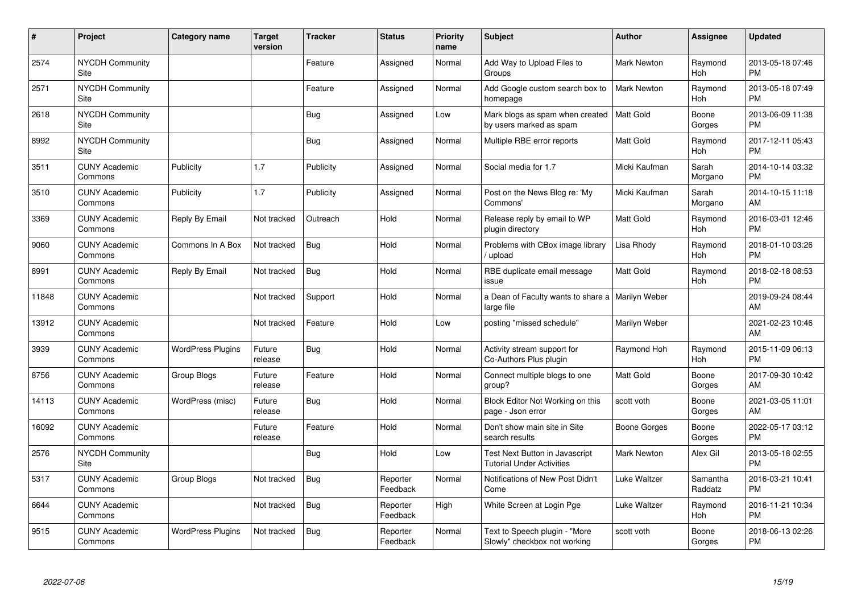| $\pmb{\sharp}$ | Project                         | Category name            | Target<br>version | <b>Tracker</b> | <b>Status</b>        | <b>Priority</b><br>name | <b>Subject</b>                                                     | Author             | <b>Assignee</b>     | <b>Updated</b>                |
|----------------|---------------------------------|--------------------------|-------------------|----------------|----------------------|-------------------------|--------------------------------------------------------------------|--------------------|---------------------|-------------------------------|
| 2574           | <b>NYCDH Community</b><br>Site  |                          |                   | Feature        | Assigned             | Normal                  | Add Way to Upload Files to<br>Groups                               | <b>Mark Newton</b> | Raymond<br>Hoh      | 2013-05-18 07:46<br><b>PM</b> |
| 2571           | <b>NYCDH Community</b><br>Site  |                          |                   | Feature        | Assigned             | Normal                  | Add Google custom search box to<br>homepage                        | <b>Mark Newton</b> | Raymond<br>Hoh      | 2013-05-18 07:49<br><b>PM</b> |
| 2618           | <b>NYCDH Community</b><br>Site  |                          |                   | <b>Bug</b>     | Assigned             | Low                     | Mark blogs as spam when created<br>by users marked as spam         | Matt Gold          | Boone<br>Gorges     | 2013-06-09 11:38<br><b>PM</b> |
| 8992           | <b>NYCDH Community</b><br>Site  |                          |                   | <b>Bug</b>     | Assigned             | Normal                  | Multiple RBE error reports                                         | <b>Matt Gold</b>   | Raymond<br>Hoh      | 2017-12-11 05:43<br><b>PM</b> |
| 3511           | <b>CUNY Academic</b><br>Commons | Publicity                | 1.7               | Publicity      | Assigned             | Normal                  | Social media for 1.7                                               | Micki Kaufman      | Sarah<br>Morgano    | 2014-10-14 03:32<br><b>PM</b> |
| 3510           | <b>CUNY Academic</b><br>Commons | Publicity                | 1.7               | Publicity      | Assigned             | Normal                  | Post on the News Blog re: 'My<br>Commons'                          | Micki Kaufman      | Sarah<br>Morgano    | 2014-10-15 11:18<br>AM        |
| 3369           | <b>CUNY Academic</b><br>Commons | Reply By Email           | Not tracked       | Outreach       | Hold                 | Normal                  | Release reply by email to WP<br>plugin directory                   | <b>Matt Gold</b>   | Raymond<br>Hoh      | 2016-03-01 12:46<br><b>PM</b> |
| 9060           | <b>CUNY Academic</b><br>Commons | Commons In A Box         | Not tracked       | Bug            | Hold                 | Normal                  | Problems with CBox image library<br>/ upload                       | Lisa Rhody         | Raymond<br>Hoh      | 2018-01-10 03:26<br><b>PM</b> |
| 8991           | <b>CUNY Academic</b><br>Commons | Reply By Email           | Not tracked       | Bug            | Hold                 | Normal                  | RBE duplicate email message<br>issue                               | <b>Matt Gold</b>   | Raymond<br>Hoh      | 2018-02-18 08:53<br><b>PM</b> |
| 11848          | <b>CUNY Academic</b><br>Commons |                          | Not tracked       | Support        | Hold                 | Normal                  | a Dean of Faculty wants to share a   Marilyn Weber<br>large file   |                    |                     | 2019-09-24 08:44<br>AM        |
| 13912          | <b>CUNY Academic</b><br>Commons |                          | Not tracked       | Feature        | Hold                 | Low                     | posting "missed schedule"                                          | Marilyn Weber      |                     | 2021-02-23 10:46<br>AM        |
| 3939           | <b>CUNY Academic</b><br>Commons | <b>WordPress Plugins</b> | Future<br>release | Bug            | Hold                 | Normal                  | Activity stream support for<br>Co-Authors Plus plugin              | Raymond Hoh        | Raymond<br>Hoh      | 2015-11-09 06:13<br><b>PM</b> |
| 8756           | <b>CUNY Academic</b><br>Commons | Group Blogs              | Future<br>release | Feature        | Hold                 | Normal                  | Connect multiple blogs to one<br>group?                            | <b>Matt Gold</b>   | Boone<br>Gorges     | 2017-09-30 10:42<br>AM        |
| 14113          | <b>CUNY Academic</b><br>Commons | WordPress (misc)         | Future<br>release | <b>Bug</b>     | Hold                 | Normal                  | Block Editor Not Working on this<br>page - Json error              | scott voth         | Boone<br>Gorges     | 2021-03-05 11:01<br>AM        |
| 16092          | <b>CUNY Academic</b><br>Commons |                          | Future<br>release | Feature        | Hold                 | Normal                  | Don't show main site in Site<br>search results                     | Boone Gorges       | Boone<br>Gorges     | 2022-05-17 03:12<br><b>PM</b> |
| 2576           | <b>NYCDH Community</b><br>Site  |                          |                   | Bug            | Hold                 | Low                     | Test Next Button in Javascript<br><b>Tutorial Under Activities</b> | <b>Mark Newton</b> | Alex Gil            | 2013-05-18 02:55<br><b>PM</b> |
| 5317           | <b>CUNY Academic</b><br>Commons | Group Blogs              | Not tracked       | Bug            | Reporter<br>Feedback | Normal                  | Notifications of New Post Didn't<br>Come                           | Luke Waltzer       | Samantha<br>Raddatz | 2016-03-21 10:41<br><b>PM</b> |
| 6644           | <b>CUNY Academic</b><br>Commons |                          | Not tracked       | Bug            | Reporter<br>Feedback | High                    | White Screen at Login Pge                                          | Luke Waltzer       | Raymond<br>Hoh      | 2016-11-21 10:34<br><b>PM</b> |
| 9515           | <b>CUNY Academic</b><br>Commons | <b>WordPress Plugins</b> | Not tracked       | <b>Bug</b>     | Reporter<br>Feedback | Normal                  | Text to Speech plugin - "More<br>Slowly" checkbox not working      | scott voth         | Boone<br>Gorges     | 2018-06-13 02:26<br>PM        |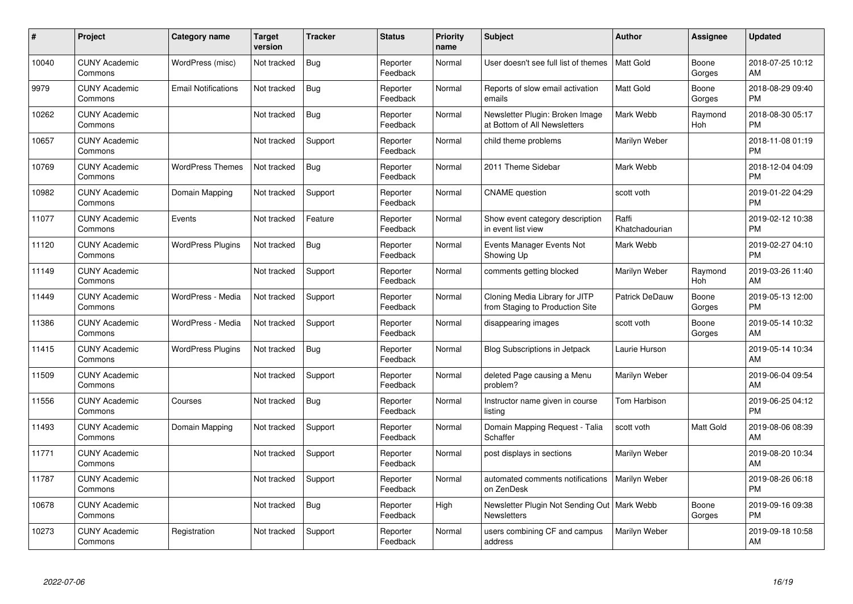| #     | Project                         | Category name              | <b>Target</b><br>version | <b>Tracker</b> | <b>Status</b>        | <b>Priority</b><br>name | <b>Subject</b>                                                      | Author                  | Assignee        | <b>Updated</b>                |
|-------|---------------------------------|----------------------------|--------------------------|----------------|----------------------|-------------------------|---------------------------------------------------------------------|-------------------------|-----------------|-------------------------------|
| 10040 | <b>CUNY Academic</b><br>Commons | WordPress (misc)           | Not tracked              | <b>Bug</b>     | Reporter<br>Feedback | Normal                  | User doesn't see full list of themes                                | <b>Matt Gold</b>        | Boone<br>Gorges | 2018-07-25 10:12<br>AM        |
| 9979  | <b>CUNY Academic</b><br>Commons | <b>Email Notifications</b> | Not tracked              | Bug            | Reporter<br>Feedback | Normal                  | Reports of slow email activation<br>emails                          | <b>Matt Gold</b>        | Boone<br>Gorges | 2018-08-29 09:40<br><b>PM</b> |
| 10262 | <b>CUNY Academic</b><br>Commons |                            | Not tracked              | <b>Bug</b>     | Reporter<br>Feedback | Normal                  | Newsletter Plugin: Broken Image<br>at Bottom of All Newsletters     | Mark Webb               | Raymond<br>Hoh  | 2018-08-30 05:17<br><b>PM</b> |
| 10657 | <b>CUNY Academic</b><br>Commons |                            | Not tracked              | Support        | Reporter<br>Feedback | Normal                  | child theme problems                                                | Marilyn Weber           |                 | 2018-11-08 01:19<br><b>PM</b> |
| 10769 | <b>CUNY Academic</b><br>Commons | <b>WordPress Themes</b>    | Not tracked              | <b>Bug</b>     | Reporter<br>Feedback | Normal                  | 2011 Theme Sidebar                                                  | Mark Webb               |                 | 2018-12-04 04:09<br><b>PM</b> |
| 10982 | <b>CUNY Academic</b><br>Commons | Domain Mapping             | Not tracked              | Support        | Reporter<br>Feedback | Normal                  | <b>CNAME</b> question                                               | scott voth              |                 | 2019-01-22 04:29<br><b>PM</b> |
| 11077 | <b>CUNY Academic</b><br>Commons | Events                     | Not tracked              | Feature        | Reporter<br>Feedback | Normal                  | Show event category description<br>in event list view               | Raffi<br>Khatchadourian |                 | 2019-02-12 10:38<br><b>PM</b> |
| 11120 | <b>CUNY Academic</b><br>Commons | <b>WordPress Plugins</b>   | Not tracked              | Bug            | Reporter<br>Feedback | Normal                  | Events Manager Events Not<br>Showing Up                             | Mark Webb               |                 | 2019-02-27 04:10<br><b>PM</b> |
| 11149 | <b>CUNY Academic</b><br>Commons |                            | Not tracked              | Support        | Reporter<br>Feedback | Normal                  | comments getting blocked                                            | Marilyn Weber           | Raymond<br>Hoh  | 2019-03-26 11:40<br>AM        |
| 11449 | <b>CUNY Academic</b><br>Commons | WordPress - Media          | Not tracked              | Support        | Reporter<br>Feedback | Normal                  | Cloning Media Library for JITP<br>from Staging to Production Site   | <b>Patrick DeDauw</b>   | Boone<br>Gorges | 2019-05-13 12:00<br><b>PM</b> |
| 11386 | <b>CUNY Academic</b><br>Commons | WordPress - Media          | Not tracked              | Support        | Reporter<br>Feedback | Normal                  | disappearing images                                                 | scott voth              | Boone<br>Gorges | 2019-05-14 10:32<br>AM        |
| 11415 | <b>CUNY Academic</b><br>Commons | <b>WordPress Plugins</b>   | Not tracked              | <b>Bug</b>     | Reporter<br>Feedback | Normal                  | Blog Subscriptions in Jetpack                                       | Laurie Hurson           |                 | 2019-05-14 10:34<br>AM        |
| 11509 | <b>CUNY Academic</b><br>Commons |                            | Not tracked              | Support        | Reporter<br>Feedback | Normal                  | deleted Page causing a Menu<br>problem?                             | Marilyn Weber           |                 | 2019-06-04 09:54<br>AM        |
| 11556 | <b>CUNY Academic</b><br>Commons | Courses                    | Not tracked              | Bug            | Reporter<br>Feedback | Normal                  | Instructor name given in course<br>listing                          | Tom Harbison            |                 | 2019-06-25 04:12<br><b>PM</b> |
| 11493 | <b>CUNY Academic</b><br>Commons | Domain Mapping             | Not tracked              | Support        | Reporter<br>Feedback | Normal                  | Domain Mapping Request - Talia<br>Schaffer                          | scott voth              | Matt Gold       | 2019-08-06 08:39<br>AM        |
| 11771 | <b>CUNY Academic</b><br>Commons |                            | Not tracked              | Support        | Reporter<br>Feedback | Normal                  | post displays in sections                                           | Marilyn Weber           |                 | 2019-08-20 10:34<br>AM        |
| 11787 | <b>CUNY Academic</b><br>Commons |                            | Not tracked              | Support        | Reporter<br>Feedback | Normal                  | automated comments notifications<br>on ZenDesk                      | Marilyn Weber           |                 | 2019-08-26 06:18<br><b>PM</b> |
| 10678 | <b>CUNY Academic</b><br>Commons |                            | Not tracked              | Bug            | Reporter<br>Feedback | High                    | Newsletter Plugin Not Sending Out   Mark Webb<br><b>Newsletters</b> |                         | Boone<br>Gorges | 2019-09-16 09:38<br><b>PM</b> |
| 10273 | <b>CUNY Academic</b><br>Commons | Registration               | Not tracked              | Support        | Reporter<br>Feedback | Normal                  | users combining CF and campus<br>address                            | Marilyn Weber           |                 | 2019-09-18 10:58<br>AM        |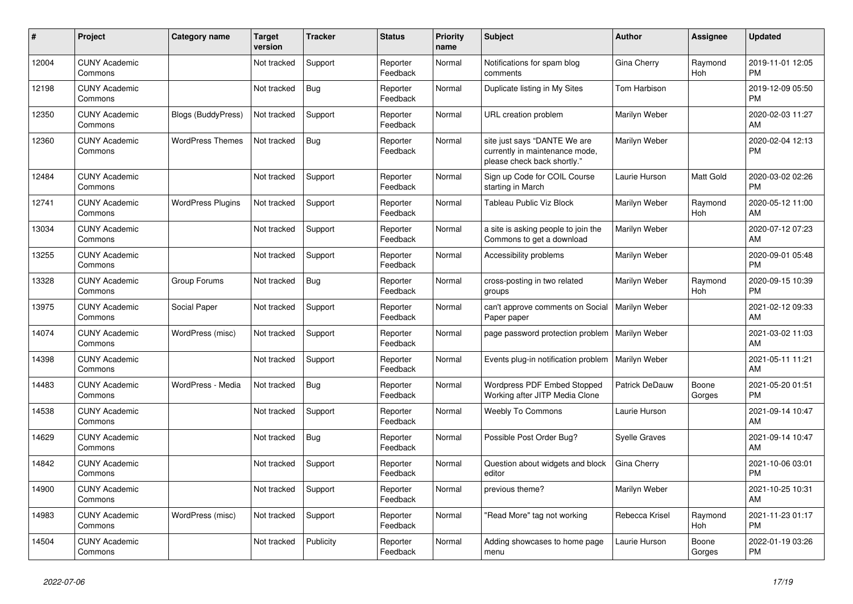| $\vert$ # | <b>Project</b>                  | Category name             | <b>Target</b><br>version | <b>Tracker</b> | <b>Status</b>        | <b>Priority</b><br>name | <b>Subject</b>                                                                                | <b>Author</b>        | Assignee        | <b>Updated</b>                |
|-----------|---------------------------------|---------------------------|--------------------------|----------------|----------------------|-------------------------|-----------------------------------------------------------------------------------------------|----------------------|-----------------|-------------------------------|
| 12004     | <b>CUNY Academic</b><br>Commons |                           | Not tracked              | Support        | Reporter<br>Feedback | Normal                  | Notifications for spam blog<br>comments                                                       | Gina Cherry          | Raymond<br>Hoh  | 2019-11-01 12:05<br><b>PM</b> |
| 12198     | <b>CUNY Academic</b><br>Commons |                           | Not tracked              | <b>Bug</b>     | Reporter<br>Feedback | Normal                  | Duplicate listing in My Sites                                                                 | <b>Tom Harbison</b>  |                 | 2019-12-09 05:50<br><b>PM</b> |
| 12350     | <b>CUNY Academic</b><br>Commons | <b>Blogs (BuddyPress)</b> | Not tracked              | Support        | Reporter<br>Feedback | Normal                  | URL creation problem                                                                          | Marilyn Weber        |                 | 2020-02-03 11:27<br>AM        |
| 12360     | <b>CUNY Academic</b><br>Commons | <b>WordPress Themes</b>   | Not tracked              | Bug            | Reporter<br>Feedback | Normal                  | site just says "DANTE We are<br>currently in maintenance mode,<br>please check back shortly." | Marilyn Weber        |                 | 2020-02-04 12:13<br><b>PM</b> |
| 12484     | <b>CUNY Academic</b><br>Commons |                           | Not tracked              | Support        | Reporter<br>Feedback | Normal                  | Sign up Code for COIL Course<br>starting in March                                             | Laurie Hurson        | Matt Gold       | 2020-03-02 02:26<br><b>PM</b> |
| 12741     | <b>CUNY Academic</b><br>Commons | <b>WordPress Plugins</b>  | Not tracked              | Support        | Reporter<br>Feedback | Normal                  | Tableau Public Viz Block                                                                      | Marilyn Weber        | Raymond<br>Hoh  | 2020-05-12 11:00<br>AM        |
| 13034     | <b>CUNY Academic</b><br>Commons |                           | Not tracked              | Support        | Reporter<br>Feedback | Normal                  | a site is asking people to join the<br>Commons to get a download                              | Marilyn Weber        |                 | 2020-07-12 07:23<br>AM        |
| 13255     | <b>CUNY Academic</b><br>Commons |                           | Not tracked              | Support        | Reporter<br>Feedback | Normal                  | Accessibility problems                                                                        | Marilyn Weber        |                 | 2020-09-01 05:48<br><b>PM</b> |
| 13328     | <b>CUNY Academic</b><br>Commons | Group Forums              | Not tracked              | Bug            | Reporter<br>Feedback | Normal                  | cross-posting in two related<br>groups                                                        | Marilyn Weber        | Raymond<br>Hoh  | 2020-09-15 10:39<br><b>PM</b> |
| 13975     | <b>CUNY Academic</b><br>Commons | Social Paper              | Not tracked              | Support        | Reporter<br>Feedback | Normal                  | can't approve comments on Social<br>Paper paper                                               | Marilyn Weber        |                 | 2021-02-12 09:33<br>AM        |
| 14074     | <b>CUNY Academic</b><br>Commons | WordPress (misc)          | Not tracked              | Support        | Reporter<br>Feedback | Normal                  | page password protection problem   Marilyn Weber                                              |                      |                 | 2021-03-02 11:03<br>AM        |
| 14398     | <b>CUNY Academic</b><br>Commons |                           | Not tracked              | Support        | Reporter<br>Feedback | Normal                  | Events plug-in notification problem   Marilyn Weber                                           |                      |                 | 2021-05-11 11:21<br>AM        |
| 14483     | <b>CUNY Academic</b><br>Commons | WordPress - Media         | Not tracked              | Bug            | Reporter<br>Feedback | Normal                  | Wordpress PDF Embed Stopped<br>Working after JITP Media Clone                                 | Patrick DeDauw       | Boone<br>Gorges | 2021-05-20 01:51<br><b>PM</b> |
| 14538     | <b>CUNY Academic</b><br>Commons |                           | Not tracked              | Support        | Reporter<br>Feedback | Normal                  | <b>Weebly To Commons</b>                                                                      | Laurie Hurson        |                 | 2021-09-14 10:47<br>AM        |
| 14629     | <b>CUNY Academic</b><br>Commons |                           | Not tracked              | <b>Bug</b>     | Reporter<br>Feedback | Normal                  | Possible Post Order Bug?                                                                      | <b>Syelle Graves</b> |                 | 2021-09-14 10:47<br>AM        |
| 14842     | <b>CUNY Academic</b><br>Commons |                           | Not tracked              | Support        | Reporter<br>Feedback | Normal                  | Question about widgets and block<br>editor                                                    | Gina Cherry          |                 | 2021-10-06 03:01<br><b>PM</b> |
| 14900     | <b>CUNY Academic</b><br>Commons |                           | Not tracked              | Support        | Reporter<br>Feedback | Normal                  | previous theme?                                                                               | Marilyn Weber        |                 | 2021-10-25 10:31<br>AM        |
| 14983     | <b>CUNY Academic</b><br>Commons | WordPress (misc)          | Not tracked              | Support        | Reporter<br>Feedback | Normal                  | "Read More" tag not working                                                                   | Rebecca Krisel       | Raymond<br>Hoh  | 2021-11-23 01:17<br><b>PM</b> |
| 14504     | <b>CUNY Academic</b><br>Commons |                           | Not tracked              | Publicity      | Reporter<br>Feedback | Normal                  | Adding showcases to home page<br>menu                                                         | Laurie Hurson        | Boone<br>Gorges | 2022-01-19 03:26<br><b>PM</b> |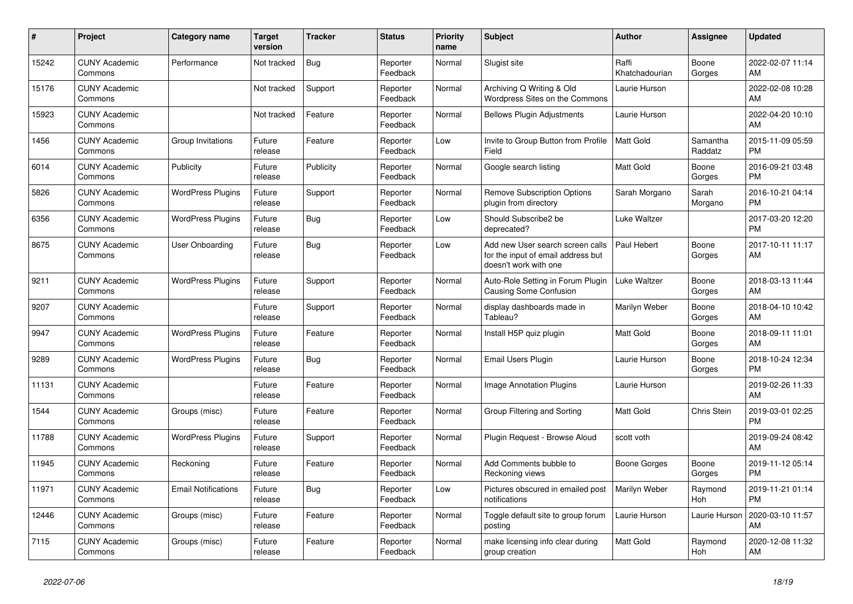| #     | Project                         | <b>Category name</b>       | <b>Target</b><br>version | <b>Tracker</b> | <b>Status</b>        | <b>Priority</b><br>name | <b>Subject</b>                                                                                  | <b>Author</b>           | Assignee            | <b>Updated</b>                |
|-------|---------------------------------|----------------------------|--------------------------|----------------|----------------------|-------------------------|-------------------------------------------------------------------------------------------------|-------------------------|---------------------|-------------------------------|
| 15242 | <b>CUNY Academic</b><br>Commons | Performance                | Not tracked              | <b>Bug</b>     | Reporter<br>Feedback | Normal                  | Slugist site                                                                                    | Raffi<br>Khatchadourian | Boone<br>Gorges     | 2022-02-07 11:14<br>AM        |
| 15176 | <b>CUNY Academic</b><br>Commons |                            | Not tracked              | Support        | Reporter<br>Feedback | Normal                  | Archiving Q Writing & Old<br>Wordpress Sites on the Commons                                     | Laurie Hurson           |                     | 2022-02-08 10:28<br>AM        |
| 15923 | <b>CUNY Academic</b><br>Commons |                            | Not tracked              | Feature        | Reporter<br>Feedback | Normal                  | <b>Bellows Plugin Adjustments</b>                                                               | Laurie Hurson           |                     | 2022-04-20 10:10<br>AM        |
| 1456  | <b>CUNY Academic</b><br>Commons | Group Invitations          | Future<br>release        | Feature        | Reporter<br>Feedback | Low                     | Invite to Group Button from Profile<br>Field                                                    | <b>Matt Gold</b>        | Samantha<br>Raddatz | 2015-11-09 05:59<br><b>PM</b> |
| 6014  | <b>CUNY Academic</b><br>Commons | Publicity                  | Future<br>release        | Publicity      | Reporter<br>Feedback | Normal                  | Google search listing                                                                           | Matt Gold               | Boone<br>Gorges     | 2016-09-21 03:48<br><b>PM</b> |
| 5826  | <b>CUNY Academic</b><br>Commons | <b>WordPress Plugins</b>   | Future<br>release        | Support        | Reporter<br>Feedback | Normal                  | <b>Remove Subscription Options</b><br>plugin from directory                                     | Sarah Morgano           | Sarah<br>Morgano    | 2016-10-21 04:14<br><b>PM</b> |
| 6356  | <b>CUNY Academic</b><br>Commons | <b>WordPress Plugins</b>   | Future<br>release        | Bug            | Reporter<br>Feedback | Low                     | Should Subscribe2 be<br>deprecated?                                                             | Luke Waltzer            |                     | 2017-03-20 12:20<br><b>PM</b> |
| 8675  | <b>CUNY Academic</b><br>Commons | User Onboarding            | Future<br>release        | Bug            | Reporter<br>Feedback | Low                     | Add new User search screen calls<br>for the input of email address but<br>doesn't work with one | Paul Hebert             | Boone<br>Gorges     | 2017-10-11 11:17<br>AM        |
| 9211  | <b>CUNY Academic</b><br>Commons | <b>WordPress Plugins</b>   | Future<br>release        | Support        | Reporter<br>Feedback | Normal                  | Auto-Role Setting in Forum Plugin<br>Causing Some Confusion                                     | Luke Waltzer            | Boone<br>Gorges     | 2018-03-13 11:44<br>AM        |
| 9207  | <b>CUNY Academic</b><br>Commons |                            | Future<br>release        | Support        | Reporter<br>Feedback | Normal                  | display dashboards made in<br>Tableau?                                                          | Marilyn Weber           | Boone<br>Gorges     | 2018-04-10 10:42<br>AM        |
| 9947  | <b>CUNY Academic</b><br>Commons | <b>WordPress Plugins</b>   | Future<br>release        | Feature        | Reporter<br>Feedback | Normal                  | Install H5P quiz plugin                                                                         | <b>Matt Gold</b>        | Boone<br>Gorges     | 2018-09-11 11:01<br>AM        |
| 9289  | <b>CUNY Academic</b><br>Commons | <b>WordPress Plugins</b>   | Future<br>release        | Bug            | Reporter<br>Feedback | Normal                  | Email Users Plugin                                                                              | Laurie Hurson           | Boone<br>Gorges     | 2018-10-24 12:34<br><b>PM</b> |
| 11131 | <b>CUNY Academic</b><br>Commons |                            | Future<br>release        | Feature        | Reporter<br>Feedback | Normal                  | <b>Image Annotation Plugins</b>                                                                 | Laurie Hurson           |                     | 2019-02-26 11:33<br>AM        |
| 1544  | <b>CUNY Academic</b><br>Commons | Groups (misc)              | Future<br>release        | Feature        | Reporter<br>Feedback | Normal                  | Group Filtering and Sorting                                                                     | Matt Gold               | Chris Stein         | 2019-03-01 02:25<br><b>PM</b> |
| 11788 | <b>CUNY Academic</b><br>Commons | <b>WordPress Plugins</b>   | Future<br>release        | Support        | Reporter<br>Feedback | Normal                  | Plugin Request - Browse Aloud                                                                   | scott voth              |                     | 2019-09-24 08:42<br>AM        |
| 11945 | <b>CUNY Academic</b><br>Commons | Reckoning                  | Future<br>release        | Feature        | Reporter<br>Feedback | Normal                  | Add Comments bubble to<br>Reckoning views                                                       | Boone Gorges            | Boone<br>Gorges     | 2019-11-12 05:14<br><b>PM</b> |
| 11971 | <b>CUNY Academic</b><br>Commons | <b>Email Notifications</b> | Future<br>release        | Bug            | Reporter<br>Feedback | Low                     | Pictures obscured in emailed post<br>notifications                                              | Marilyn Weber           | Raymond<br>Hoh      | 2019-11-21 01:14<br><b>PM</b> |
| 12446 | <b>CUNY Academic</b><br>Commons | Groups (misc)              | Future<br>release        | Feature        | Reporter<br>Feedback | Normal                  | Toggle default site to group forum<br>posting                                                   | Laurie Hurson           | Laurie Hurson       | 2020-03-10 11:57<br>AM        |
| 7115  | <b>CUNY Academic</b><br>Commons | Groups (misc)              | Future<br>release        | Feature        | Reporter<br>Feedback | Normal                  | make licensing info clear during<br>group creation                                              | <b>Matt Gold</b>        | Raymond<br>Hoh      | 2020-12-08 11:32<br>AM        |